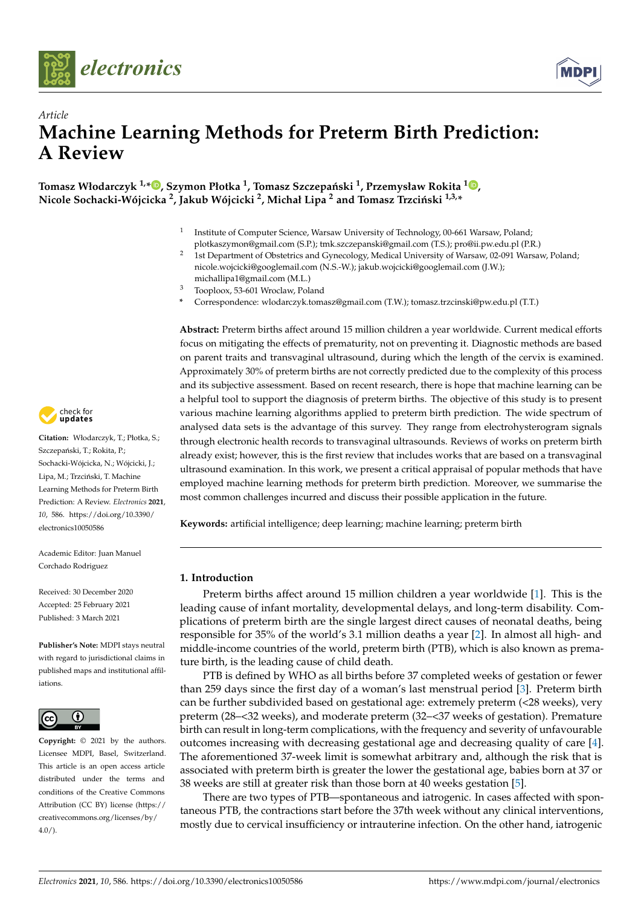



# *Article* **Machine Learning Methods for Preterm Birth Prediction: A Review**

 $\Gamma$ omasz Włodarczyk <sup>1,</sup>[\\*](https://orcid.org/0000-0002-0437-470X) $\bullet$ [,](https://orcid.org/0000-0002-4433-2133) Szymon Płotka <sup>1</sup>, Tomasz Szczepański <sup>1</sup>, Przemysław Rokita  $^{\mathbf{1}\bullet}$ , **Nicole Sochacki-Wójcicka <sup>2</sup> , Jakub Wójcicki <sup>2</sup> , Michał Lipa <sup>2</sup> and Tomasz Trzci ´nski 1,3,\***

- 1 Institute of Computer Science, Warsaw University of Technology, 00-661 Warsaw, Poland; plotkaszymon@gmail.com (S.P.); tmk.szczepanski@gmail.com (T.S.); pro@ii.pw.edu.pl (P.R.)
- <sup>2</sup> 1st Department of Obstetrics and Gynecology, Medical University of Warsaw, 02-091 Warsaw, Poland; nicole.wojcicki@googlemail.com (N.S.-W.); jakub.wojcicki@googlemail.com (J.W.); michallipa1@gmail.com (M.L.)
- <sup>3</sup> Tooploox, 53-601 Wroclaw, Poland
- **\*** Correspondence: wlodarczyk.tomasz@gmail.com (T.W.); tomasz.trzcinski@pw.edu.pl (T.T.)

**Abstract:** Preterm births affect around 15 million children a year worldwide. Current medical efforts focus on mitigating the effects of prematurity, not on preventing it. Diagnostic methods are based on parent traits and transvaginal ultrasound, during which the length of the cervix is examined. Approximately 30% of preterm births are not correctly predicted due to the complexity of this process and its subjective assessment. Based on recent research, there is hope that machine learning can be a helpful tool to support the diagnosis of preterm births. The objective of this study is to present various machine learning algorithms applied to preterm birth prediction. The wide spectrum of analysed data sets is the advantage of this survey. They range from electrohysterogram signals through electronic health records to transvaginal ultrasounds. Reviews of works on preterm birth already exist; however, this is the first review that includes works that are based on a transvaginal ultrasound examination. In this work, we present a critical appraisal of popular methods that have employed machine learning methods for preterm birth prediction. Moreover, we summarise the most common challenges incurred and discuss their possible application in the future.

**Keywords:** artificial intelligence; deep learning; machine learning; preterm birth

# **1. Introduction**

Preterm births affect around 15 million children a year worldwide [\[1\]](#page-19-0). This is the leading cause of infant mortality, developmental delays, and long-term disability. Complications of preterm birth are the single largest direct causes of neonatal deaths, being responsible for 35% of the world's 3.1 million deaths a year [\[2\]](#page-19-1). In almost all high- and middle-income countries of the world, preterm birth (PTB), which is also known as premature birth, is the leading cause of child death.

PTB is defined by WHO as all births before 37 completed weeks of gestation or fewer than 259 days since the first day of a woman's last menstrual period [\[3\]](#page-19-2). Preterm birth can be further subdivided based on gestational age: extremely preterm (<28 weeks), very preterm (28–<32 weeks), and moderate preterm (32–<37 weeks of gestation). Premature birth can result in long-term complications, with the frequency and severity of unfavourable outcomes increasing with decreasing gestational age and decreasing quality of care [\[4\]](#page-19-3). The aforementioned 37-week limit is somewhat arbitrary and, although the risk that is associated with preterm birth is greater the lower the gestational age, babies born at 37 or 38 weeks are still at greater risk than those born at 40 weeks gestation [\[5\]](#page-19-4).

There are two types of PTB—spontaneous and iatrogenic. In cases affected with spontaneous PTB, the contractions start before the 37th week without any clinical interventions, mostly due to cervical insufficiency or intrauterine infection. On the other hand, iatrogenic



**Citation:** Włodarczyk, T.; Płotka, S.; Szczepański, T.; Rokita, P.; Sochacki-Wójcicka, N.; Wójcicki, J.; Lipa, M.; Trzciński, T. Machine Learning Methods for Preterm Birth Prediction: A Review. *Electronics* **2021**, *10*, 586. [https://doi.org/10.3390/](https://doi.org/10.3390/electronics10050586) [electronics10050586](https://doi.org/10.3390/electronics10050586)

Academic Editor: Juan Manuel Corchado Rodriguez

Received: 30 December 2020 Accepted: 25 February 2021 Published: 3 March 2021

**Publisher's Note:** MDPI stays neutral with regard to jurisdictional claims in published maps and institutional affiliations.



**Copyright:** © 2021 by the authors. Licensee MDPI, Basel, Switzerland. This article is an open access article distributed under the terms and conditions of the Creative Commons Attribution (CC BY) license (https:/[/](https://creativecommons.org/licenses/by/4.0/) [creativecommons.org/licenses/by/](https://creativecommons.org/licenses/by/4.0/)  $4.0/$ ).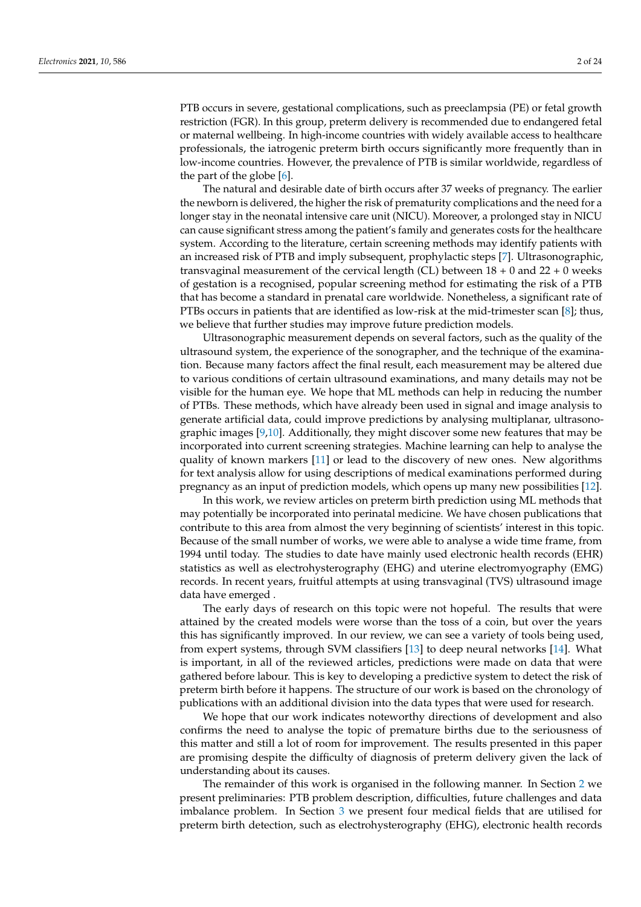PTB occurs in severe, gestational complications, such as preeclampsia (PE) or fetal growth restriction (FGR). In this group, preterm delivery is recommended due to endangered fetal or maternal wellbeing. In high-income countries with widely available access to healthcare professionals, the iatrogenic preterm birth occurs significantly more frequently than in low-income countries. However, the prevalence of PTB is similar worldwide, regardless of the part of the globe [\[6\]](#page-19-5).

The natural and desirable date of birth occurs after 37 weeks of pregnancy. The earlier the newborn is delivered, the higher the risk of prematurity complications and the need for a longer stay in the neonatal intensive care unit (NICU). Moreover, a prolonged stay in NICU can cause significant stress among the patient's family and generates costs for the healthcare system. According to the literature, certain screening methods may identify patients with an increased risk of PTB and imply subsequent, prophylactic steps [\[7\]](#page-19-6). Ultrasonographic, transvaginal measurement of the cervical length (CL) between  $18 + 0$  and  $22 + 0$  weeks of gestation is a recognised, popular screening method for estimating the risk of a PTB that has become a standard in prenatal care worldwide. Nonetheless, a significant rate of PTBs occurs in patients that are identified as low-risk at the mid-trimester scan [\[8\]](#page-19-7); thus, we believe that further studies may improve future prediction models.

Ultrasonographic measurement depends on several factors, such as the quality of the ultrasound system, the experience of the sonographer, and the technique of the examination. Because many factors affect the final result, each measurement may be altered due to various conditions of certain ultrasound examinations, and many details may not be visible for the human eye. We hope that ML methods can help in reducing the number of PTBs. These methods, which have already been used in signal and image analysis to generate artificial data, could improve predictions by analysing multiplanar, ultrasonographic images [\[9](#page-19-8)[,10\]](#page-19-9). Additionally, they might discover some new features that may be incorporated into current screening strategies. Machine learning can help to analyse the quality of known markers [\[11\]](#page-19-10) or lead to the discovery of new ones. New algorithms for text analysis allow for using descriptions of medical examinations performed during pregnancy as an input of prediction models, which opens up many new possibilities [\[12\]](#page-19-11).

In this work, we review articles on preterm birth prediction using ML methods that may potentially be incorporated into perinatal medicine. We have chosen publications that contribute to this area from almost the very beginning of scientists' interest in this topic. Because of the small number of works, we were able to analyse a wide time frame, from 1994 until today. The studies to date have mainly used electronic health records (EHR) statistics as well as electrohysterography (EHG) and uterine electromyography (EMG) records. In recent years, fruitful attempts at using transvaginal (TVS) ultrasound image data have emerged .

The early days of research on this topic were not hopeful. The results that were attained by the created models were worse than the toss of a coin, but over the years this has significantly improved. In our review, we can see a variety of tools being used, from expert systems, through SVM classifiers [\[13\]](#page-19-12) to deep neural networks [\[14\]](#page-19-13). What is important, in all of the reviewed articles, predictions were made on data that were gathered before labour. This is key to developing a predictive system to detect the risk of preterm birth before it happens. The structure of our work is based on the chronology of publications with an additional division into the data types that were used for research.

We hope that our work indicates noteworthy directions of development and also confirms the need to analyse the topic of premature births due to the seriousness of this matter and still a lot of room for improvement. The results presented in this paper are promising despite the difficulty of diagnosis of preterm delivery given the lack of understanding about its causes.

The remainder of this work is organised in the following manner. In Section [2](#page-2-0) we present preliminaries: PTB problem description, difficulties, future challenges and data imbalance problem. In Section [3](#page-5-0) we present four medical fields that are utilised for preterm birth detection, such as electrohysterography (EHG), electronic health records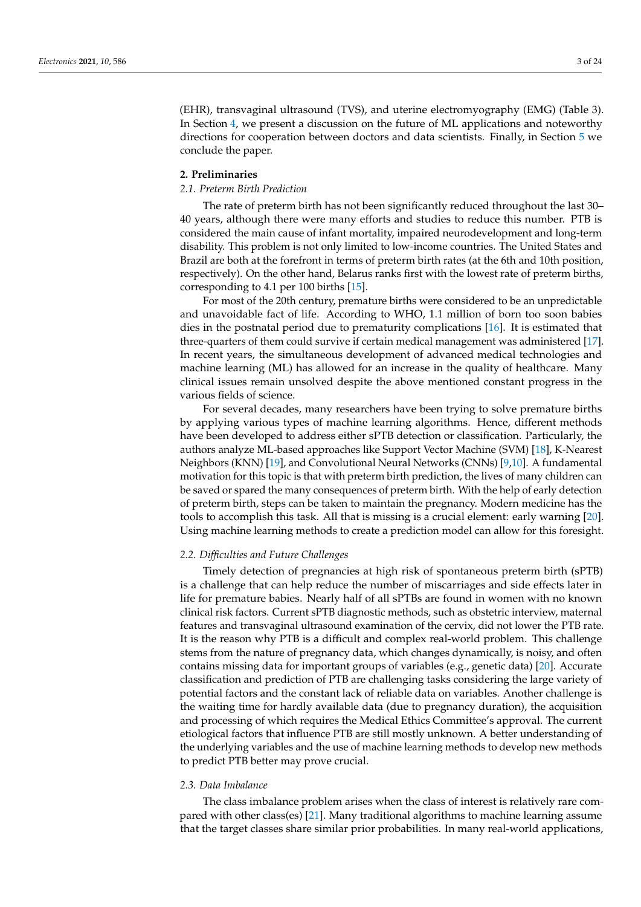(EHR), transvaginal ultrasound (TVS), and uterine electromyography (EMG) (Table 3). In Section [4,](#page-13-0) we present a discussion on the future of ML applications and noteworthy directions for cooperation between doctors and data scientists. Finally, in Section [5](#page-18-0) we conclude the paper.

## <span id="page-2-0"></span>**2. Preliminaries**

## *2.1. Preterm Birth Prediction*

The rate of preterm birth has not been significantly reduced throughout the last 30– 40 years, although there were many efforts and studies to reduce this number. PTB is considered the main cause of infant mortality, impaired neurodevelopment and long-term disability. This problem is not only limited to low-income countries. The United States and Brazil are both at the forefront in terms of preterm birth rates (at the 6th and 10th position, respectively). On the other hand, Belarus ranks first with the lowest rate of preterm births, corresponding to 4.1 per 100 births [\[15\]](#page-19-14).

For most of the 20th century, premature births were considered to be an unpredictable and unavoidable fact of life. According to WHO, 1.1 million of born too soon babies dies in the postnatal period due to prematurity complications [\[16\]](#page-19-15). It is estimated that three-quarters of them could survive if certain medical management was administered [\[17\]](#page-19-16). In recent years, the simultaneous development of advanced medical technologies and machine learning (ML) has allowed for an increase in the quality of healthcare. Many clinical issues remain unsolved despite the above mentioned constant progress in the various fields of science.

For several decades, many researchers have been trying to solve premature births by applying various types of machine learning algorithms. Hence, different methods have been developed to address either sPTB detection or classification. Particularly, the authors analyze ML-based approaches like Support Vector Machine (SVM) [\[18\]](#page-19-17), K-Nearest Neighbors (KNN) [\[19\]](#page-19-18), and Convolutional Neural Networks (CNNs) [\[9](#page-19-8)[,10\]](#page-19-9). A fundamental motivation for this topic is that with preterm birth prediction, the lives of many children can be saved or spared the many consequences of preterm birth. With the help of early detection of preterm birth, steps can be taken to maintain the pregnancy. Modern medicine has the tools to accomplish this task. All that is missing is a crucial element: early warning [\[20\]](#page-19-19). Using machine learning methods to create a prediction model can allow for this foresight.

## *2.2. Difficulties and Future Challenges*

Timely detection of pregnancies at high risk of spontaneous preterm birth (sPTB) is a challenge that can help reduce the number of miscarriages and side effects later in life for premature babies. Nearly half of all sPTBs are found in women with no known clinical risk factors. Current sPTB diagnostic methods, such as obstetric interview, maternal features and transvaginal ultrasound examination of the cervix, did not lower the PTB rate. It is the reason why PTB is a difficult and complex real-world problem. This challenge stems from the nature of pregnancy data, which changes dynamically, is noisy, and often contains missing data for important groups of variables (e.g., genetic data) [\[20\]](#page-19-19). Accurate classification and prediction of PTB are challenging tasks considering the large variety of potential factors and the constant lack of reliable data on variables. Another challenge is the waiting time for hardly available data (due to pregnancy duration), the acquisition and processing of which requires the Medical Ethics Committee's approval. The current etiological factors that influence PTB are still mostly unknown. A better understanding of the underlying variables and the use of machine learning methods to develop new methods to predict PTB better may prove crucial.

## <span id="page-2-1"></span>*2.3. Data Imbalance*

The class imbalance problem arises when the class of interest is relatively rare compared with other class(es) [\[21\]](#page-19-20). Many traditional algorithms to machine learning assume that the target classes share similar prior probabilities. In many real-world applications,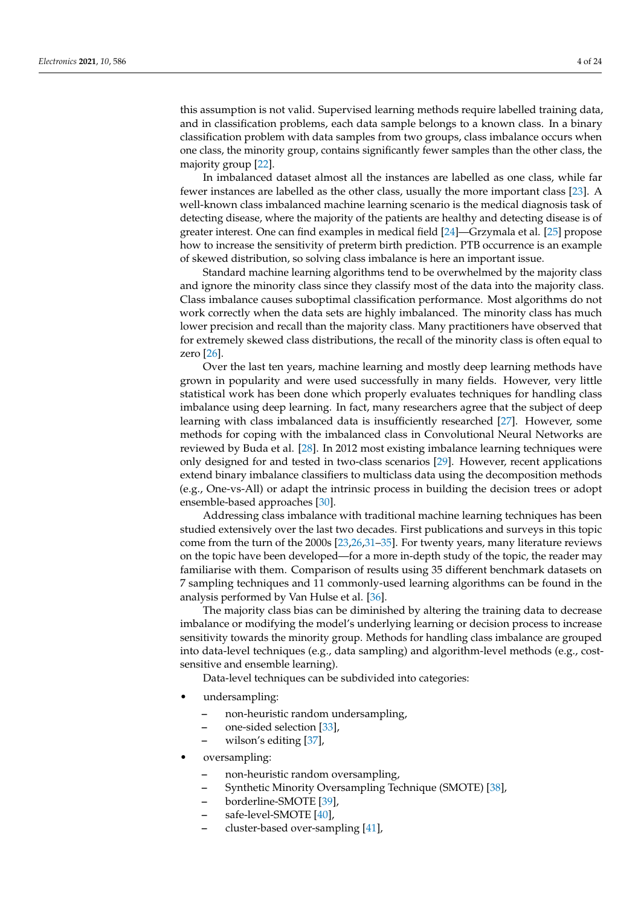this assumption is not valid. Supervised learning methods require labelled training data, and in classification problems, each data sample belongs to a known class. In a binary classification problem with data samples from two groups, class imbalance occurs when one class, the minority group, contains significantly fewer samples than the other class, the majority group [\[22\]](#page-19-21).

In imbalanced dataset almost all the instances are labelled as one class, while far fewer instances are labelled as the other class, usually the more important class [\[23\]](#page-19-22). A well-known class imbalanced machine learning scenario is the medical diagnosis task of detecting disease, where the majority of the patients are healthy and detecting disease is of greater interest. One can find examples in medical field [\[24\]](#page-19-23)—Grzymala et al. [\[25\]](#page-19-24) propose how to increase the sensitivity of preterm birth prediction. PTB occurrence is an example of skewed distribution, so solving class imbalance is here an important issue.

Standard machine learning algorithms tend to be overwhelmed by the majority class and ignore the minority class since they classify most of the data into the majority class. Class imbalance causes suboptimal classification performance. Most algorithms do not work correctly when the data sets are highly imbalanced. The minority class has much lower precision and recall than the majority class. Many practitioners have observed that for extremely skewed class distributions, the recall of the minority class is often equal to zero [\[26\]](#page-20-0).

Over the last ten years, machine learning and mostly deep learning methods have grown in popularity and were used successfully in many fields. However, very little statistical work has been done which properly evaluates techniques for handling class imbalance using deep learning. In fact, many researchers agree that the subject of deep learning with class imbalanced data is insufficiently researched [\[27\]](#page-20-1). However, some methods for coping with the imbalanced class in Convolutional Neural Networks are reviewed by Buda et al. [\[28\]](#page-20-2). In 2012 most existing imbalance learning techniques were only designed for and tested in two-class scenarios [\[29\]](#page-20-3). However, recent applications extend binary imbalance classifiers to multiclass data using the decomposition methods (e.g., One-vs-All) or adapt the intrinsic process in building the decision trees or adopt ensemble-based approaches [\[30\]](#page-20-4).

Addressing class imbalance with traditional machine learning techniques has been studied extensively over the last two decades. First publications and surveys in this topic come from the turn of the 2000s [\[23](#page-19-22)[,26](#page-20-0)[,31–](#page-20-5)[35\]](#page-20-6). For twenty years, many literature reviews on the topic have been developed—for a more in-depth study of the topic, the reader may familiarise with them. Comparison of results using 35 different benchmark datasets on 7 sampling techniques and 11 commonly-used learning algorithms can be found in the analysis performed by Van Hulse et al. [\[36\]](#page-20-7).

The majority class bias can be diminished by altering the training data to decrease imbalance or modifying the model's underlying learning or decision process to increase sensitivity towards the minority group. Methods for handling class imbalance are grouped into data-level techniques (e.g., data sampling) and algorithm-level methods (e.g., costsensitive and ensemble learning).

Data-level techniques can be subdivided into categories:

- undersampling:
	- **–** non-heuristic random undersampling,
	- **–** one-sided selection [\[33\]](#page-20-8),
	- **–** wilson's editing [\[37\]](#page-20-9),
- oversampling:
	- **–** non-heuristic random oversampling,
	- **–** Synthetic Minority Oversampling Technique (SMOTE) [\[38\]](#page-20-10),
	- **–** borderline-SMOTE [\[39\]](#page-20-11),
	- **–** safe-level-SMOTE [\[40\]](#page-20-12),
	- **–** cluster-based over-sampling [\[41\]](#page-20-13),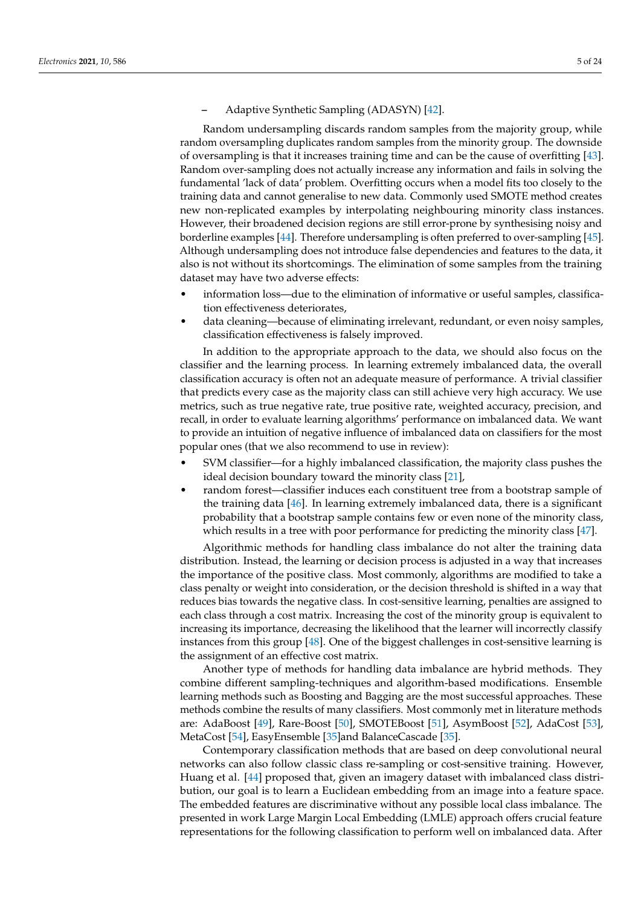**–** Adaptive Synthetic Sampling (ADASYN) [\[42\]](#page-20-14).

Random undersampling discards random samples from the majority group, while random oversampling duplicates random samples from the minority group. The downside of oversampling is that it increases training time and can be the cause of overfitting [\[43\]](#page-20-15). Random over-sampling does not actually increase any information and fails in solving the fundamental 'lack of data' problem. Overfitting occurs when a model fits too closely to the training data and cannot generalise to new data. Commonly used SMOTE method creates new non-replicated examples by interpolating neighbouring minority class instances. However, their broadened decision regions are still error-prone by synthesising noisy and borderline examples [\[44\]](#page-20-16). Therefore undersampling is often preferred to over-sampling [\[45\]](#page-20-17). Although undersampling does not introduce false dependencies and features to the data, it also is not without its shortcomings. The elimination of some samples from the training dataset may have two adverse effects:

- information loss—due to the elimination of informative or useful samples, classification effectiveness deteriorates,
- data cleaning—because of eliminating irrelevant, redundant, or even noisy samples, classification effectiveness is falsely improved.

In addition to the appropriate approach to the data, we should also focus on the classifier and the learning process. In learning extremely imbalanced data, the overall classification accuracy is often not an adequate measure of performance. A trivial classifier that predicts every case as the majority class can still achieve very high accuracy. We use metrics, such as true negative rate, true positive rate, weighted accuracy, precision, and recall, in order to evaluate learning algorithms' performance on imbalanced data. We want to provide an intuition of negative influence of imbalanced data on classifiers for the most popular ones (that we also recommend to use in review):

- SVM classifier—for a highly imbalanced classification, the majority class pushes the ideal decision boundary toward the minority class [\[21\]](#page-19-20),
- random forest—classifier induces each constituent tree from a bootstrap sample of the training data [\[46\]](#page-20-18). In learning extremely imbalanced data, there is a significant probability that a bootstrap sample contains few or even none of the minority class, which results in a tree with poor performance for predicting the minority class [\[47\]](#page-20-19).

Algorithmic methods for handling class imbalance do not alter the training data distribution. Instead, the learning or decision process is adjusted in a way that increases the importance of the positive class. Most commonly, algorithms are modified to take a class penalty or weight into consideration, or the decision threshold is shifted in a way that reduces bias towards the negative class. In cost-sensitive learning, penalties are assigned to each class through a cost matrix. Increasing the cost of the minority group is equivalent to increasing its importance, decreasing the likelihood that the learner will incorrectly classify instances from this group [\[48\]](#page-20-20). One of the biggest challenges in cost-sensitive learning is the assignment of an effective cost matrix.

Another type of methods for handling data imbalance are hybrid methods. They combine different sampling-techniques and algorithm-based modifications. Ensemble learning methods such as Boosting and Bagging are the most successful approaches. These methods combine the results of many classifiers. Most commonly met in literature methods are: AdaBoost [\[49\]](#page-20-21), Rare-Boost [\[50\]](#page-20-22), SMOTEBoost [\[51\]](#page-20-23), AsymBoost [\[52\]](#page-20-24), AdaCost [\[53\]](#page-21-0), MetaCost [\[54\]](#page-21-1), EasyEnsemble [\[35\]](#page-20-6)and BalanceCascade [\[35\]](#page-20-6).

Contemporary classification methods that are based on deep convolutional neural networks can also follow classic class re-sampling or cost-sensitive training. However, Huang et al. [\[44\]](#page-20-16) proposed that, given an imagery dataset with imbalanced class distribution, our goal is to learn a Euclidean embedding from an image into a feature space. The embedded features are discriminative without any possible local class imbalance. The presented in work Large Margin Local Embedding (LMLE) approach offers crucial feature representations for the following classification to perform well on imbalanced data. After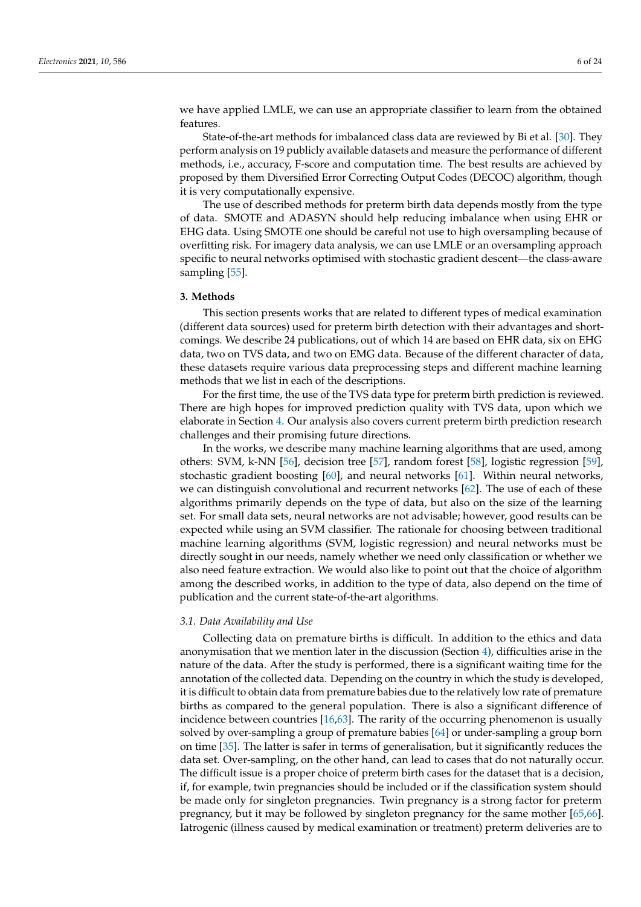we have applied LMLE, we can use an appropriate classifier to learn from the obtained features.

State-of-the-art methods for imbalanced class data are reviewed by Bi et al. [\[30\]](#page-20-4). They perform analysis on 19 publicly available datasets and measure the performance of different methods, i.e., accuracy, F-score and computation time. The best results are achieved by proposed by them Diversified Error Correcting Output Codes (DECOC) algorithm, though it is very computationally expensive.

The use of described methods for preterm birth data depends mostly from the type of data. SMOTE and ADASYN should help reducing imbalance when using EHR or EHG data. Using SMOTE one should be careful not use to high oversampling because of overfitting risk. For imagery data analysis, we can use LMLE or an oversampling approach specific to neural networks optimised with stochastic gradient descent—the class-aware sampling [\[55\]](#page-21-2).

#### <span id="page-5-0"></span>**3. Methods**

This section presents works that are related to different types of medical examination (different data sources) used for preterm birth detection with their advantages and shortcomings. We describe 24 publications, out of which 14 are based on EHR data, six on EHG data, two on TVS data, and two on EMG data. Because of the different character of data, these datasets require various data preprocessing steps and different machine learning methods that we list in each of the descriptions.

For the first time, the use of the TVS data type for preterm birth prediction is reviewed. There are high hopes for improved prediction quality with TVS data, upon which we elaborate in Section [4.](#page-13-0) Our analysis also covers current preterm birth prediction research challenges and their promising future directions.

In the works, we describe many machine learning algorithms that are used, among others: SVM, k-NN [\[56\]](#page-21-3), decision tree [\[57\]](#page-21-4), random forest [\[58\]](#page-21-5), logistic regression [\[59\]](#page-21-6), stochastic gradient boosting [\[60\]](#page-21-7), and neural networks [\[61\]](#page-21-8). Within neural networks, we can distinguish convolutional and recurrent networks [\[62\]](#page-21-9). The use of each of these algorithms primarily depends on the type of data, but also on the size of the learning set. For small data sets, neural networks are not advisable; however, good results can be expected while using an SVM classifier. The rationale for choosing between traditional machine learning algorithms (SVM, logistic regression) and neural networks must be directly sought in our needs, namely whether we need only classification or whether we also need feature extraction. We would also like to point out that the choice of algorithm among the described works, in addition to the type of data, also depend on the time of publication and the current state-of-the-art algorithms.

## *3.1. Data Availability and Use*

Collecting data on premature births is difficult. In addition to the ethics and data anonymisation that we mention later in the discussion (Section [4\)](#page-13-0), difficulties arise in the nature of the data. After the study is performed, there is a significant waiting time for the annotation of the collected data. Depending on the country in which the study is developed, it is difficult to obtain data from premature babies due to the relatively low rate of premature births as compared to the general population. There is also a significant difference of incidence between countries [\[16](#page-19-15)[,63\]](#page-21-10). The rarity of the occurring phenomenon is usually solved by over-sampling a group of premature babies [\[64\]](#page-21-11) or under-sampling a group born on time [\[35\]](#page-20-6). The latter is safer in terms of generalisation, but it significantly reduces the data set. Over-sampling, on the other hand, can lead to cases that do not naturally occur. The difficult issue is a proper choice of preterm birth cases for the dataset that is a decision, if, for example, twin pregnancies should be included or if the classification system should be made only for singleton pregnancies. Twin pregnancy is a strong factor for preterm pregnancy, but it may be followed by singleton pregnancy for the same mother [\[65,](#page-21-12)[66\]](#page-21-13). Iatrogenic (illness caused by medical examination or treatment) preterm deliveries are to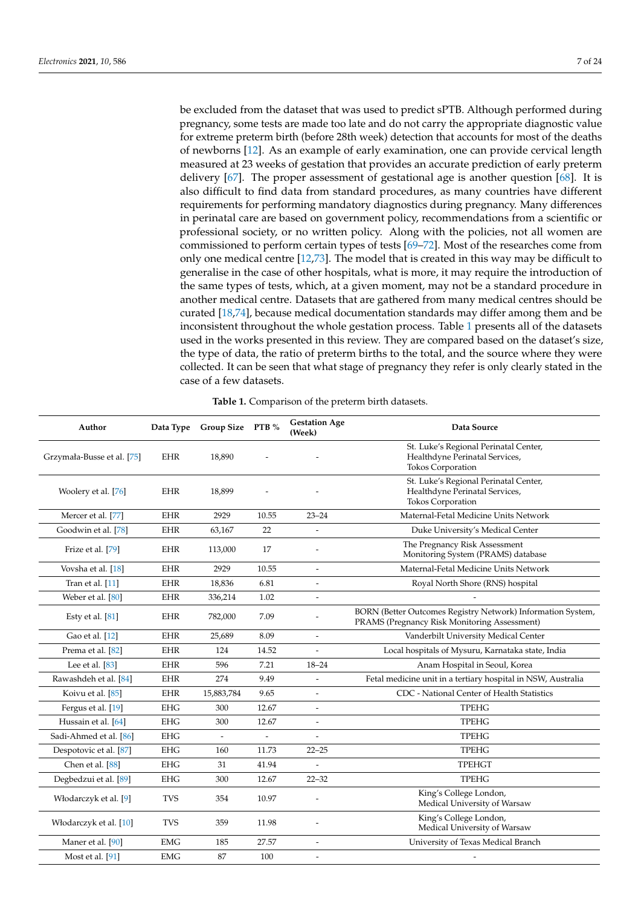be excluded from the dataset that was used to predict sPTB. Although performed during pregnancy, some tests are made too late and do not carry the appropriate diagnostic value for extreme preterm birth (before 28th week) detection that accounts for most of the deaths of newborns [\[12\]](#page-19-11). As an example of early examination, one can provide cervical length measured at 23 weeks of gestation that provides an accurate prediction of early preterm delivery [\[67\]](#page-21-14). The proper assessment of gestational age is another question [\[68\]](#page-21-15). It is also difficult to find data from standard procedures, as many countries have different requirements for performing mandatory diagnostics during pregnancy. Many differences in perinatal care are based on government policy, recommendations from a scientific or professional society, or no written policy. Along with the policies, not all women are commissioned to perform certain types of tests [\[69](#page-21-16)[–72\]](#page-21-17). Most of the researches come from only one medical centre [\[12](#page-19-11)[,73\]](#page-21-18). The model that is created in this way may be difficult to generalise in the case of other hospitals, what is more, it may require the introduction of the same types of tests, which, at a given moment, may not be a standard procedure in another medical centre. Datasets that are gathered from many medical centres should be curated [\[18,](#page-19-17)[74\]](#page-21-19), because medical documentation standards may differ among them and be inconsistent throughout the whole gestation process. Table [1](#page-6-0) presents all of the datasets used in the works presented in this review. They are compared based on the dataset's size, the type of data, the ratio of preterm births to the total, and the source where they were collected. It can be seen that what stage of pregnancy they refer is only clearly stated in the case of a few datasets.

<span id="page-6-0"></span>

| Author                     |                             | Data Type Group Size PTB % |                          | <b>Gestation Age</b><br>(Week) | Data Source                                                                                                 |  |
|----------------------------|-----------------------------|----------------------------|--------------------------|--------------------------------|-------------------------------------------------------------------------------------------------------------|--|
| Grzymała-Busse et al. [75] | <b>EHR</b>                  | 18,890                     |                          |                                | St. Luke's Regional Perinatal Center,<br>Healthdyne Perinatal Services,<br><b>Tokos Corporation</b>         |  |
| Woolery et al. [76]        | <b>EHR</b>                  | 18,899                     |                          |                                | St. Luke's Regional Perinatal Center,<br>Healthdyne Perinatal Services,<br>Tokos Corporation                |  |
| Mercer et al. [77]         | <b>EHR</b>                  | 2929                       | 10.55                    | $23 - 24$                      | Maternal-Fetal Medicine Units Network                                                                       |  |
| Goodwin et al. [78]        | <b>EHR</b>                  | 63,167                     | 22                       | $\overline{a}$                 | Duke University's Medical Center                                                                            |  |
| Frize et al. [79]          | <b>EHR</b>                  | 113,000                    | 17                       | $\overline{a}$                 | The Pregnancy Risk Assessment<br>Monitoring System (PRAMS) database                                         |  |
| Vovsha et al. [18]         | <b>EHR</b>                  | 2929                       | 10.55                    | $\overline{\phantom{a}}$       | Maternal-Fetal Medicine Units Network                                                                       |  |
| Tran et al. [11]           | <b>EHR</b>                  | 18,836                     | 6.81                     | $\overline{a}$                 | Royal North Shore (RNS) hospital                                                                            |  |
| Weber et al. [80]          | <b>EHR</b>                  | 336,214                    | 1.02                     | L.                             |                                                                                                             |  |
| Esty et al. $[81]$         | <b>EHR</b>                  | 782,000                    | 7.09                     |                                | BORN (Better Outcomes Registry Network) Information System,<br>PRAMS (Pregnancy Risk Monitoring Assessment) |  |
| Gao et al. [12]            | <b>EHR</b>                  | 25,689                     | 8.09                     | $\overline{a}$                 | Vanderbilt University Medical Center                                                                        |  |
| Prema et al. [82]          | $\ensuremath{\mathrm{EHR}}$ | 124                        | 14.52                    |                                | Local hospitals of Mysuru, Karnataka state, India                                                           |  |
| Lee et al. $[83]$          | <b>EHR</b>                  | 596                        | 7.21                     | $18 - 24$                      | Anam Hospital in Seoul, Korea                                                                               |  |
| Rawashdeh et al. [84]      | <b>EHR</b>                  | 274                        | 9.49                     | $\overline{a}$                 | Fetal medicine unit in a tertiary hospital in NSW, Australia                                                |  |
| Koivu et al. [85]          | <b>EHR</b>                  | 15,883,784                 | 9.65                     | L,                             | CDC - National Center of Health Statistics                                                                  |  |
| Fergus et al. [19]         | <b>EHG</b>                  | 300                        | 12.67                    | $\overline{\phantom{a}}$       | <b>TPEHG</b>                                                                                                |  |
| Hussain et al. [64]        | <b>EHG</b>                  | 300                        | 12.67                    | $\overline{a}$                 | <b>TPEHG</b>                                                                                                |  |
| Sadi-Ahmed et al. [86]     | <b>EHG</b>                  | $\sim$                     | $\overline{\phantom{a}}$ |                                | <b>TPEHG</b>                                                                                                |  |
| Despotovic et al. [87]     | <b>EHG</b>                  | 160                        | 11.73                    | $22 - 25$                      | <b>TPEHG</b>                                                                                                |  |
| Chen et al. [88]           | <b>EHG</b>                  | 31                         | 41.94                    |                                | <b>TPEHGT</b>                                                                                               |  |
| Degbedzui et al. [89]      | <b>EHG</b>                  | 300                        | 12.67                    | $22 - 32$                      | <b>TPEHG</b>                                                                                                |  |
| Włodarczyk et al. [9]      | <b>TVS</b>                  | 354                        | 10.97                    |                                | King's College London,<br>Medical University of Warsaw                                                      |  |
| Włodarczyk et al. [10]     | <b>TVS</b>                  | 359                        | 11.98                    | L,                             | King's College London,<br>Medical University of Warsaw                                                      |  |
| Maner et al. [90]          | <b>EMG</b>                  | 185                        | 27.57                    | $\overline{a}$                 | University of Texas Medical Branch                                                                          |  |
| Most et al. [91]           | <b>EMG</b>                  | 87                         | 100                      | $\overline{\phantom{a}}$       | $\overline{a}$                                                                                              |  |

**Table 1.** Comparison of the preterm birth datasets.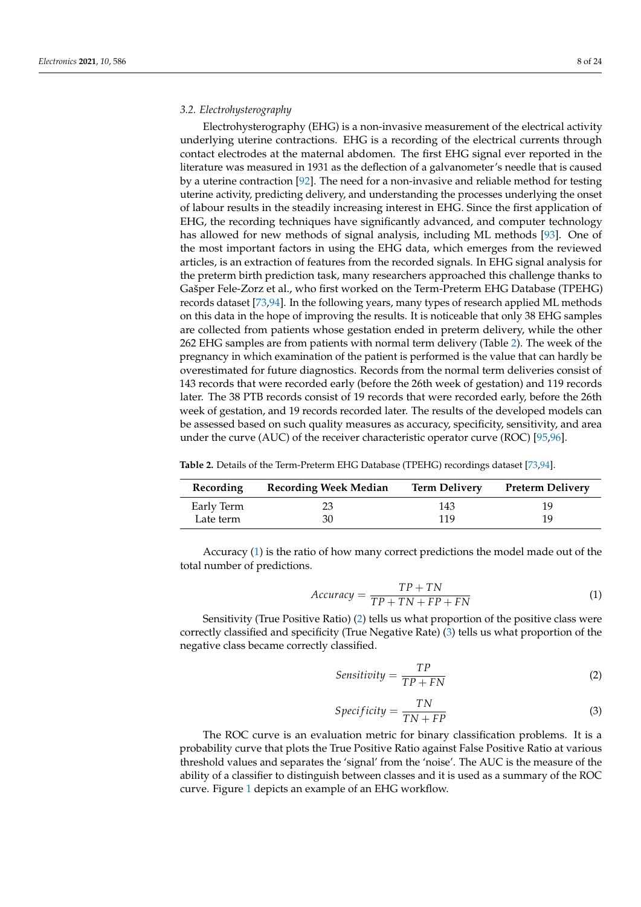## *3.2. Electrohysterography*

Electrohysterography (EHG) is a non-invasive measurement of the electrical activity underlying uterine contractions. EHG is a recording of the electrical currents through contact electrodes at the maternal abdomen. The first EHG signal ever reported in the literature was measured in 1931 as the deflection of a galvanometer's needle that is caused by a uterine contraction [\[92\]](#page-22-9). The need for a non-invasive and reliable method for testing uterine activity, predicting delivery, and understanding the processes underlying the onset of labour results in the steadily increasing interest in EHG. Since the first application of EHG, the recording techniques have significantly advanced, and computer technology has allowed for new methods of signal analysis, including ML methods [\[93\]](#page-22-10). One of the most important factors in using the EHG data, which emerges from the reviewed articles, is an extraction of features from the recorded signals. In EHG signal analysis for the preterm birth prediction task, many researchers approached this challenge thanks to Gašper Fele-Zorz et al., who first worked on the Term-Preterm EHG Database (TPEHG) records dataset [\[73,](#page-21-18)[94\]](#page-22-11). In the following years, many types of research applied ML methods on this data in the hope of improving the results. It is noticeable that only 38 EHG samples are collected from patients whose gestation ended in preterm delivery, while the other 262 EHG samples are from patients with normal term delivery (Table [2\)](#page-7-0). The week of the pregnancy in which examination of the patient is performed is the value that can hardly be overestimated for future diagnostics. Records from the normal term deliveries consist of 143 records that were recorded early (before the 26th week of gestation) and 119 records later. The 38 PTB records consist of 19 records that were recorded early, before the 26th week of gestation, and 19 records recorded later. The results of the developed models can be assessed based on such quality measures as accuracy, specificity, sensitivity, and area under the curve (AUC) of the receiver characteristic operator curve (ROC) [\[95,](#page-22-12)[96\]](#page-22-13).

<span id="page-7-0"></span>

| Table 2. Details of the Term-Preterm EHG Database (TPEHG) recordings dataset [73,94]. |  |  |  |  |  |
|---------------------------------------------------------------------------------------|--|--|--|--|--|
|---------------------------------------------------------------------------------------|--|--|--|--|--|

| Recording  | <b>Recording Week Median</b> | <b>Term Delivery</b> | <b>Preterm Delivery</b> |
|------------|------------------------------|----------------------|-------------------------|
| Early Term |                              | 143                  | 19                      |
| Late term  | 30                           | 119                  | 19                      |

Accuracy [\(1\)](#page-7-1) is the ratio of how many correct predictions the model made out of the total number of predictions.

<span id="page-7-1"></span>
$$
Accuracy = \frac{TP + TN}{TP + TN + FP + FN}
$$
 (1)

Sensitivity (True Positive Ratio) [\(2\)](#page-7-2) tells us what proportion of the positive class were correctly classified and specificity (True Negative Rate) [\(3\)](#page-7-3) tells us what proportion of the negative class became correctly classified.

<span id="page-7-2"></span>
$$
Sensitivity = \frac{TP}{TP + FN}
$$
 (2)

<span id="page-7-3"></span>
$$
Specificity = \frac{TN}{TN + FP}
$$
 (3)

The ROC curve is an evaluation metric for binary classification problems. It is a probability curve that plots the True Positive Ratio against False Positive Ratio at various threshold values and separates the 'signal' from the 'noise'. The AUC is the measure of the ability of a classifier to distinguish between classes and it is used as a summary of the ROC curve. Figure [1](#page-8-0) depicts an example of an EHG workflow.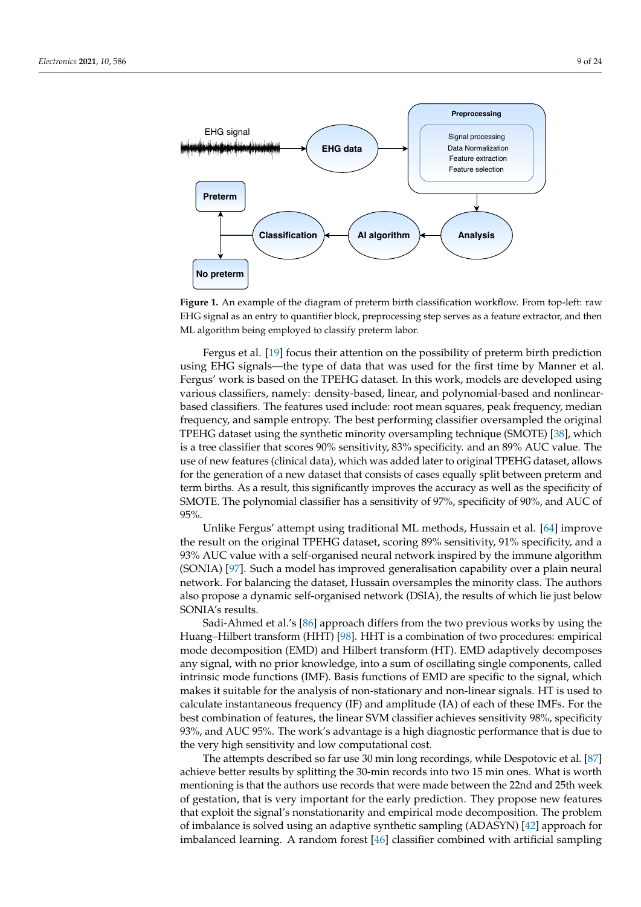<span id="page-8-0"></span>

**Figure 1.** An example of the diagram of preterm birth classification workflow. From top-left: raw EHG signal as an entry to quantifier block, preprocessing step serves as a feature extractor, and then ML algorithm being employed to classify preterm labor.

Fergus et al. [\[19\]](#page-19-18) focus their attention on the possibility of preterm birth prediction using EHG signals—the type of data that was used for the first time by Manner et al. Fergus' work is based on the TPEHG dataset. In this work, models are developed using various classifiers, namely: density-based, linear, and polynomial-based and nonlinearbased classifiers. The features used include: root mean squares, peak frequency, median frequency, and sample entropy. The best performing classifier oversampled the original TPEHG dataset using the synthetic minority oversampling technique (SMOTE) [\[38\]](#page-20-10), which is a tree classifier that scores 90% sensitivity, 83% specificity. and an 89% AUC value. The use of new features (clinical data), which was added later to original TPEHG dataset, allows for the generation of a new dataset that consists of cases equally split between preterm and term births. As a result, this significantly improves the accuracy as well as the specificity of SMOTE. The polynomial classifier has a sensitivity of 97%, specificity of 90%, and AUC of 95%.

Unlike Fergus' attempt using traditional ML methods, Hussain et al. [\[64\]](#page-21-11) improve the result on the original TPEHG dataset, scoring 89% sensitivity, 91% specificity, and a 93% AUC value with a self-organised neural network inspired by the immune algorithm (SONIA) [\[97\]](#page-22-14). Such a model has improved generalisation capability over a plain neural network. For balancing the dataset, Hussain oversamples the minority class. The authors also propose a dynamic self-organised network (DSIA), the results of which lie just below SONIA's results.

Sadi-Ahmed et al.'s [\[86\]](#page-22-3) approach differs from the two previous works by using the Huang–Hilbert transform (HHT) [\[98\]](#page-22-15). HHT is a combination of two procedures: empirical mode decomposition (EMD) and Hilbert transform (HT). EMD adaptively decomposes any signal, with no prior knowledge, into a sum of oscillating single components, called intrinsic mode functions (IMF). Basis functions of EMD are specific to the signal, which makes it suitable for the analysis of non-stationary and non-linear signals. HT is used to calculate instantaneous frequency (IF) and amplitude (IA) of each of these IMFs. For the best combination of features, the linear SVM classifier achieves sensitivity 98%, specificity 93%, and AUC 95%. The work's advantage is a high diagnostic performance that is due to the very high sensitivity and low computational cost.

The attempts described so far use 30 min long recordings, while Despotovic et al. [\[87\]](#page-22-4) achieve better results by splitting the 30-min records into two 15 min ones. What is worth mentioning is that the authors use records that were made between the 22nd and 25th week of gestation, that is very important for the early prediction. They propose new features that exploit the signal's nonstationarity and empirical mode decomposition. The problem of imbalance is solved using an adaptive synthetic sampling (ADASYN) [\[42\]](#page-20-14) approach for imbalanced learning. A random forest [\[46\]](#page-20-18) classifier combined with artificial sampling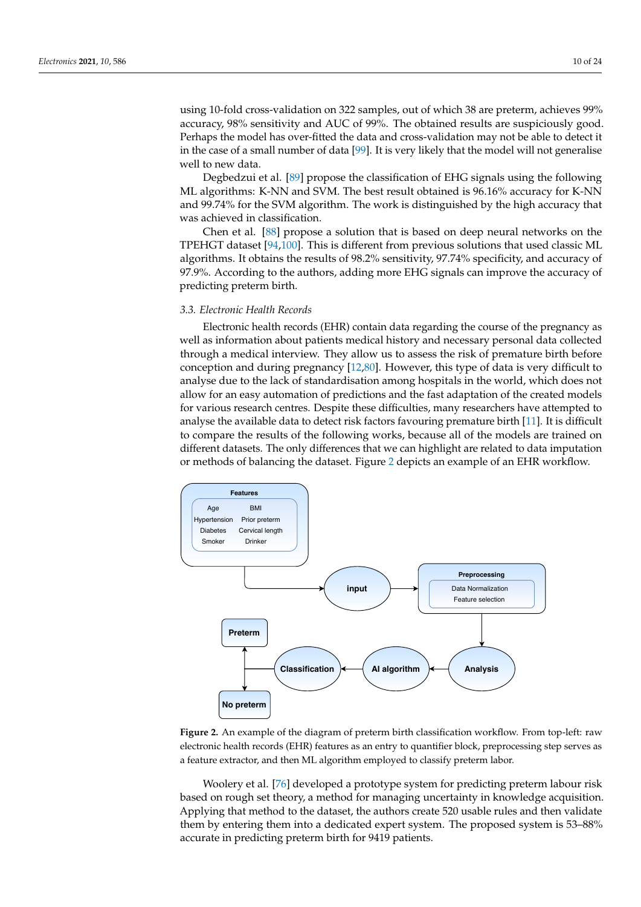using 10-fold cross-validation on 322 samples, out of which 38 are preterm, achieves 99% accuracy, 98% sensitivity and AUC of 99%. The obtained results are suspiciously good. Perhaps the model has over-fitted the data and cross-validation may not be able to detect it in the case of a small number of data [\[99\]](#page-22-16). It is very likely that the model will not generalise well to new data.

Degbedzui et al. [\[89\]](#page-22-6) propose the classification of EHG signals using the following ML algorithms: K-NN and SVM. The best result obtained is 96.16% accuracy for K-NN and 99.74% for the SVM algorithm. The work is distinguished by the high accuracy that was achieved in classification.

Chen et al. [\[88\]](#page-22-5) propose a solution that is based on deep neural networks on the TPEHGT dataset [\[94,](#page-22-11)[100\]](#page-22-17). This is different from previous solutions that used classic ML algorithms. It obtains the results of 98.2% sensitivity, 97.74% specificity, and accuracy of 97.9%. According to the authors, adding more EHG signals can improve the accuracy of predicting preterm birth.

## *3.3. Electronic Health Records*

Electronic health records (EHR) contain data regarding the course of the pregnancy as well as information about patients medical history and necessary personal data collected through a medical interview. They allow us to assess the risk of premature birth before conception and during pregnancy [\[12](#page-19-11)[,80\]](#page-21-25). However, this type of data is very difficult to analyse due to the lack of standardisation among hospitals in the world, which does not allow for an easy automation of predictions and the fast adaptation of the created models for various research centres. Despite these difficulties, many researchers have attempted to analyse the available data to detect risk factors favouring premature birth [\[11\]](#page-19-10). It is difficult to compare the results of the following works, because all of the models are trained on different datasets. The only differences that we can highlight are related to data imputation or methods of balancing the dataset. Figure [2](#page-9-0) depicts an example of an EHR workflow.

<span id="page-9-0"></span>

**Figure 2.** An example of the diagram of preterm birth classification workflow. From top-left: raw electronic health records (EHR) features as an entry to quantifier block, preprocessing step serves as a feature extractor, and then ML algorithm employed to classify preterm labor.

Woolery et al. [\[76\]](#page-21-21) developed a prototype system for predicting preterm labour risk based on rough set theory, a method for managing uncertainty in knowledge acquisition. Applying that method to the dataset, the authors create 520 usable rules and then validate them by entering them into a dedicated expert system. The proposed system is 53–88% accurate in predicting preterm birth for 9419 patients.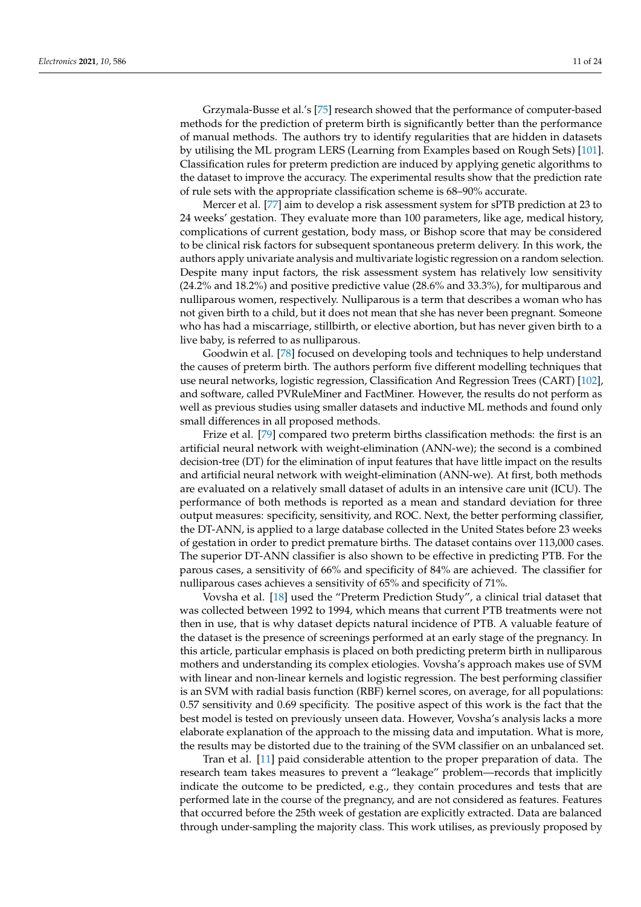Grzymala-Busse et al.'s [\[75\]](#page-21-20) research showed that the performance of computer-based methods for the prediction of preterm birth is significantly better than the performance of manual methods. The authors try to identify regularities that are hidden in datasets by utilising the ML program LERS (Learning from Examples based on Rough Sets) [\[101\]](#page-22-18). Classification rules for preterm prediction are induced by applying genetic algorithms to the dataset to improve the accuracy. The experimental results show that the prediction rate of rule sets with the appropriate classification scheme is 68–90% accurate.

Mercer et al. [\[77\]](#page-21-22) aim to develop a risk assessment system for sPTB prediction at 23 to 24 weeks' gestation. They evaluate more than 100 parameters, like age, medical history, complications of current gestation, body mass, or Bishop score that may be considered to be clinical risk factors for subsequent spontaneous preterm delivery. In this work, the authors apply univariate analysis and multivariate logistic regression on a random selection. Despite many input factors, the risk assessment system has relatively low sensitivity (24.2% and 18.2%) and positive predictive value (28.6% and 33.3%), for multiparous and nulliparous women, respectively. Nulliparous is a term that describes a woman who has not given birth to a child, but it does not mean that she has never been pregnant. Someone who has had a miscarriage, stillbirth, or elective abortion, but has never given birth to a live baby, is referred to as nulliparous.

Goodwin et al. [\[78\]](#page-21-23) focused on developing tools and techniques to help understand the causes of preterm birth. The authors perform five different modelling techniques that use neural networks, logistic regression, Classification And Regression Trees (CART) [\[102\]](#page-22-19), and software, called PVRuleMiner and FactMiner. However, the results do not perform as well as previous studies using smaller datasets and inductive ML methods and found only small differences in all proposed methods.

Frize et al. [\[79\]](#page-21-24) compared two preterm births classification methods: the first is an artificial neural network with weight-elimination (ANN-we); the second is a combined decision-tree (DT) for the elimination of input features that have little impact on the results and artificial neural network with weight-elimination (ANN-we). At first, both methods are evaluated on a relatively small dataset of adults in an intensive care unit (ICU). The performance of both methods is reported as a mean and standard deviation for three output measures: specificity, sensitivity, and ROC. Next, the better performing classifier, the DT-ANN, is applied to a large database collected in the United States before 23 weeks of gestation in order to predict premature births. The dataset contains over 113,000 cases. The superior DT-ANN classifier is also shown to be effective in predicting PTB. For the parous cases, a sensitivity of 66% and specificity of 84% are achieved. The classifier for nulliparous cases achieves a sensitivity of 65% and specificity of 71%.

Vovsha et al. [\[18\]](#page-19-17) used the "Preterm Prediction Study", a clinical trial dataset that was collected between 1992 to 1994, which means that current PTB treatments were not then in use, that is why dataset depicts natural incidence of PTB. A valuable feature of the dataset is the presence of screenings performed at an early stage of the pregnancy. In this article, particular emphasis is placed on both predicting preterm birth in nulliparous mothers and understanding its complex etiologies. Vovsha's approach makes use of SVM with linear and non-linear kernels and logistic regression. The best performing classifier is an SVM with radial basis function (RBF) kernel scores, on average, for all populations: 0.57 sensitivity and 0.69 specificity. The positive aspect of this work is the fact that the best model is tested on previously unseen data. However, Vovsha's analysis lacks a more elaborate explanation of the approach to the missing data and imputation. What is more, the results may be distorted due to the training of the SVM classifier on an unbalanced set.

Tran et al. [\[11\]](#page-19-10) paid considerable attention to the proper preparation of data. The research team takes measures to prevent a "leakage" problem—records that implicitly indicate the outcome to be predicted, e.g., they contain procedures and tests that are performed late in the course of the pregnancy, and are not considered as features. Features that occurred before the 25th week of gestation are explicitly extracted. Data are balanced through under-sampling the majority class. This work utilises, as previously proposed by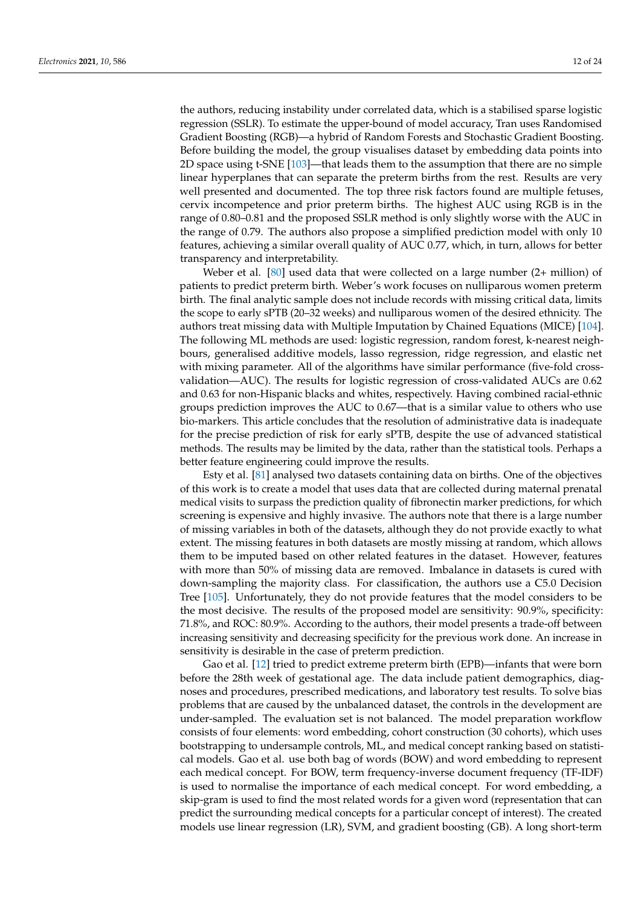the authors, reducing instability under correlated data, which is a stabilised sparse logistic regression (SSLR). To estimate the upper-bound of model accuracy, Tran uses Randomised Gradient Boosting (RGB)—a hybrid of Random Forests and Stochastic Gradient Boosting. Before building the model, the group visualises dataset by embedding data points into 2D space using t-SNE [\[103\]](#page-22-20)—that leads them to the assumption that there are no simple linear hyperplanes that can separate the preterm births from the rest. Results are very well presented and documented. The top three risk factors found are multiple fetuses, cervix incompetence and prior preterm births. The highest AUC using RGB is in the range of 0.80–0.81 and the proposed SSLR method is only slightly worse with the AUC in the range of 0.79. The authors also propose a simplified prediction model with only 10 features, achieving a similar overall quality of AUC 0.77, which, in turn, allows for better transparency and interpretability.

Weber et al. [\[80\]](#page-21-25) used data that were collected on a large number (2+ million) of patients to predict preterm birth. Weber's work focuses on nulliparous women preterm birth. The final analytic sample does not include records with missing critical data, limits the scope to early sPTB (20–32 weeks) and nulliparous women of the desired ethnicity. The authors treat missing data with Multiple Imputation by Chained Equations (MICE) [\[104\]](#page-22-21). The following ML methods are used: logistic regression, random forest, k-nearest neighbours, generalised additive models, lasso regression, ridge regression, and elastic net with mixing parameter. All of the algorithms have similar performance (five-fold crossvalidation—AUC). The results for logistic regression of cross-validated AUCs are 0.62 and 0.63 for non-Hispanic blacks and whites, respectively. Having combined racial-ethnic groups prediction improves the AUC to 0.67—that is a similar value to others who use bio-markers. This article concludes that the resolution of administrative data is inadequate for the precise prediction of risk for early sPTB, despite the use of advanced statistical methods. The results may be limited by the data, rather than the statistical tools. Perhaps a better feature engineering could improve the results.

Esty et al. [\[81\]](#page-21-26) analysed two datasets containing data on births. One of the objectives of this work is to create a model that uses data that are collected during maternal prenatal medical visits to surpass the prediction quality of fibronectin marker predictions, for which screening is expensive and highly invasive. The authors note that there is a large number of missing variables in both of the datasets, although they do not provide exactly to what extent. The missing features in both datasets are mostly missing at random, which allows them to be imputed based on other related features in the dataset. However, features with more than 50% of missing data are removed. Imbalance in datasets is cured with down-sampling the majority class. For classification, the authors use a C5.0 Decision Tree [\[105\]](#page-22-22). Unfortunately, they do not provide features that the model considers to be the most decisive. The results of the proposed model are sensitivity: 90.9%, specificity: 71.8%, and ROC: 80.9%. According to the authors, their model presents a trade-off between increasing sensitivity and decreasing specificity for the previous work done. An increase in sensitivity is desirable in the case of preterm prediction.

Gao et al. [\[12\]](#page-19-11) tried to predict extreme preterm birth (EPB)—infants that were born before the 28th week of gestational age. The data include patient demographics, diagnoses and procedures, prescribed medications, and laboratory test results. To solve bias problems that are caused by the unbalanced dataset, the controls in the development are under-sampled. The evaluation set is not balanced. The model preparation workflow consists of four elements: word embedding, cohort construction (30 cohorts), which uses bootstrapping to undersample controls, ML, and medical concept ranking based on statistical models. Gao et al. use both bag of words (BOW) and word embedding to represent each medical concept. For BOW, term frequency-inverse document frequency (TF-IDF) is used to normalise the importance of each medical concept. For word embedding, a skip-gram is used to find the most related words for a given word (representation that can predict the surrounding medical concepts for a particular concept of interest). The created models use linear regression (LR), SVM, and gradient boosting (GB). A long short-term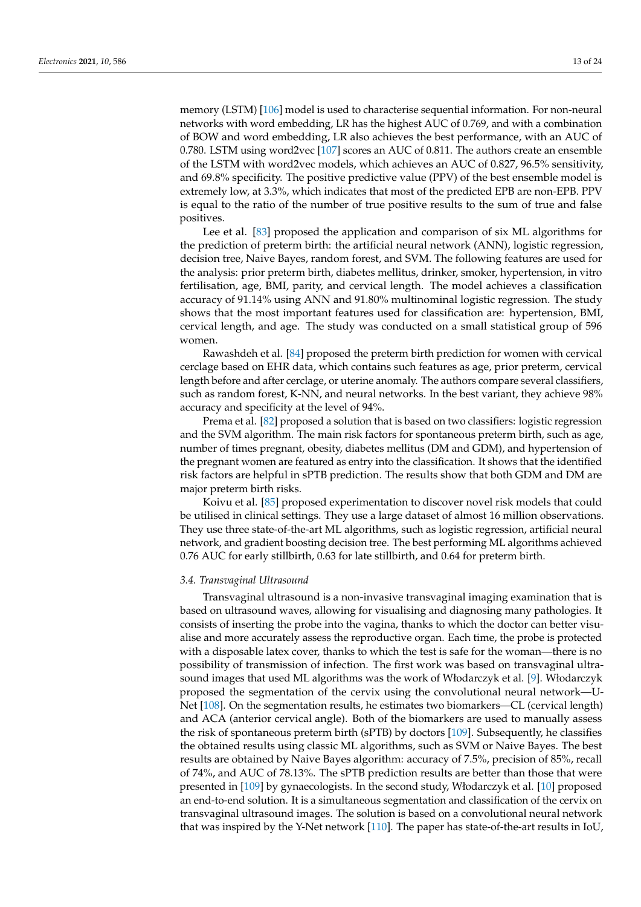memory (LSTM) [\[106\]](#page-22-23) model is used to characterise sequential information. For non-neural networks with word embedding, LR has the highest AUC of 0.769, and with a combination of BOW and word embedding, LR also achieves the best performance, with an AUC of 0.780. LSTM using word2vec [\[107\]](#page-22-24) scores an AUC of 0.811. The authors create an ensemble of the LSTM with word2vec models, which achieves an AUC of 0.827, 96.5% sensitivity, and 69.8% specificity. The positive predictive value (PPV) of the best ensemble model is extremely low, at 3.3%, which indicates that most of the predicted EPB are non-EPB. PPV is equal to the ratio of the number of true positive results to the sum of true and false positives.

Lee et al. [\[83\]](#page-22-0) proposed the application and comparison of six ML algorithms for the prediction of preterm birth: the artificial neural network (ANN), logistic regression, decision tree, Naive Bayes, random forest, and SVM. The following features are used for the analysis: prior preterm birth, diabetes mellitus, drinker, smoker, hypertension, in vitro fertilisation, age, BMI, parity, and cervical length. The model achieves a classification accuracy of 91.14% using ANN and 91.80% multinominal logistic regression. The study shows that the most important features used for classification are: hypertension, BMI, cervical length, and age. The study was conducted on a small statistical group of 596 women.

Rawashdeh et al. [\[84\]](#page-22-1) proposed the preterm birth prediction for women with cervical cerclage based on EHR data, which contains such features as age, prior preterm, cervical length before and after cerclage, or uterine anomaly. The authors compare several classifiers, such as random forest, K-NN, and neural networks. In the best variant, they achieve 98% accuracy and specificity at the level of 94%.

Prema et al. [\[82\]](#page-21-27) proposed a solution that is based on two classifiers: logistic regression and the SVM algorithm. The main risk factors for spontaneous preterm birth, such as age, number of times pregnant, obesity, diabetes mellitus (DM and GDM), and hypertension of the pregnant women are featured as entry into the classification. It shows that the identified risk factors are helpful in sPTB prediction. The results show that both GDM and DM are major preterm birth risks.

Koivu et al. [\[85\]](#page-22-2) proposed experimentation to discover novel risk models that could be utilised in clinical settings. They use a large dataset of almost 16 million observations. They use three state-of-the-art ML algorithms, such as logistic regression, artificial neural network, and gradient boosting decision tree. The best performing ML algorithms achieved 0.76 AUC for early stillbirth, 0.63 for late stillbirth, and 0.64 for preterm birth.

## *3.4. Transvaginal Ultrasound*

Transvaginal ultrasound is a non-invasive transvaginal imaging examination that is based on ultrasound waves, allowing for visualising and diagnosing many pathologies. It consists of inserting the probe into the vagina, thanks to which the doctor can better visualise and more accurately assess the reproductive organ. Each time, the probe is protected with a disposable latex cover, thanks to which the test is safe for the woman—there is no possibility of transmission of infection. The first work was based on transvaginal ultrasound images that used ML algorithms was the work of Włodarczyk et al. [\[9\]](#page-19-8). Włodarczyk proposed the segmentation of the cervix using the convolutional neural network—U-Net [\[108\]](#page-22-25). On the segmentation results, he estimates two biomarkers—CL (cervical length) and ACA (anterior cervical angle). Both of the biomarkers are used to manually assess the risk of spontaneous preterm birth (sPTB) by doctors [\[109\]](#page-22-26). Subsequently, he classifies the obtained results using classic ML algorithms, such as SVM or Naive Bayes. The best results are obtained by Naive Bayes algorithm: accuracy of 7.5%, precision of 85%, recall of 74%, and AUC of 78.13%. The sPTB prediction results are better than those that were presented in [\[109\]](#page-22-26) by gynaecologists. In the second study, Włodarczyk et al. [\[10\]](#page-19-9) proposed an end-to-end solution. It is a simultaneous segmentation and classification of the cervix on transvaginal ultrasound images. The solution is based on a convolutional neural network that was inspired by the Y-Net network [\[110\]](#page-22-27). The paper has state-of-the-art results in IoU,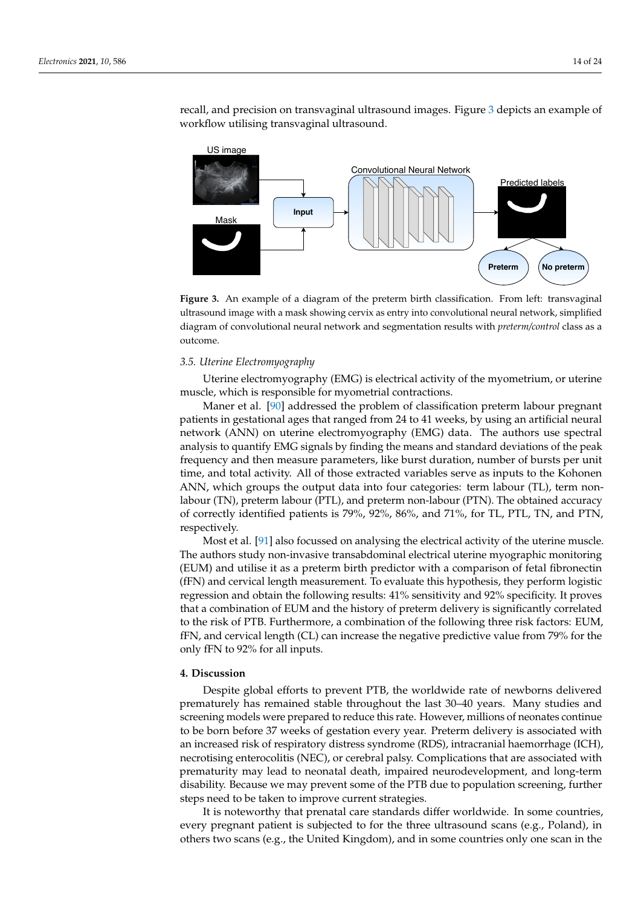recall, and precision on transvaginal ultrasound images. Figure [3](#page-13-1) depicts an example of workflow utilising transvaginal ultrasound.

<span id="page-13-1"></span>

**Figure 3.** An example of a diagram of the preterm birth classification. From left: transvaginal ultrasound image with a mask showing cervix as entry into convolutional neural network, simplified diagram of convolutional neural network and segmentation results with *preterm/control* class as a outcome.

## *3.5. Uterine Electromyography*

Uterine electromyography (EMG) is electrical activity of the myometrium, or uterine muscle, which is responsible for myometrial contractions.

Maner et al. [\[90\]](#page-22-7) addressed the problem of classification preterm labour pregnant patients in gestational ages that ranged from 24 to 41 weeks, by using an artificial neural network (ANN) on uterine electromyography (EMG) data. The authors use spectral analysis to quantify EMG signals by finding the means and standard deviations of the peak frequency and then measure parameters, like burst duration, number of bursts per unit time, and total activity. All of those extracted variables serve as inputs to the Kohonen ANN, which groups the output data into four categories: term labour (TL), term nonlabour (TN), preterm labour (PTL), and preterm non-labour (PTN). The obtained accuracy of correctly identified patients is 79%, 92%, 86%, and 71%, for TL, PTL, TN, and PTN, respectively.

Most et al. [\[91\]](#page-22-8) also focussed on analysing the electrical activity of the uterine muscle. The authors study non-invasive transabdominal electrical uterine myographic monitoring (EUM) and utilise it as a preterm birth predictor with a comparison of fetal fibronectin (fFN) and cervical length measurement. To evaluate this hypothesis, they perform logistic regression and obtain the following results: 41% sensitivity and 92% specificity. It proves that a combination of EUM and the history of preterm delivery is significantly correlated to the risk of PTB. Furthermore, a combination of the following three risk factors: EUM, fFN, and cervical length (CL) can increase the negative predictive value from 79% for the only fFN to 92% for all inputs.

#### <span id="page-13-0"></span>**4. Discussion**

Despite global efforts to prevent PTB, the worldwide rate of newborns delivered prematurely has remained stable throughout the last 30–40 years. Many studies and screening models were prepared to reduce this rate. However, millions of neonates continue to be born before 37 weeks of gestation every year. Preterm delivery is associated with an increased risk of respiratory distress syndrome (RDS), intracranial haemorrhage (ICH), necrotising enterocolitis (NEC), or cerebral palsy. Complications that are associated with prematurity may lead to neonatal death, impaired neurodevelopment, and long-term disability. Because we may prevent some of the PTB due to population screening, further steps need to be taken to improve current strategies.

It is noteworthy that prenatal care standards differ worldwide. In some countries, every pregnant patient is subjected to for the three ultrasound scans (e.g., Poland), in others two scans (e.g., the United Kingdom), and in some countries only one scan in the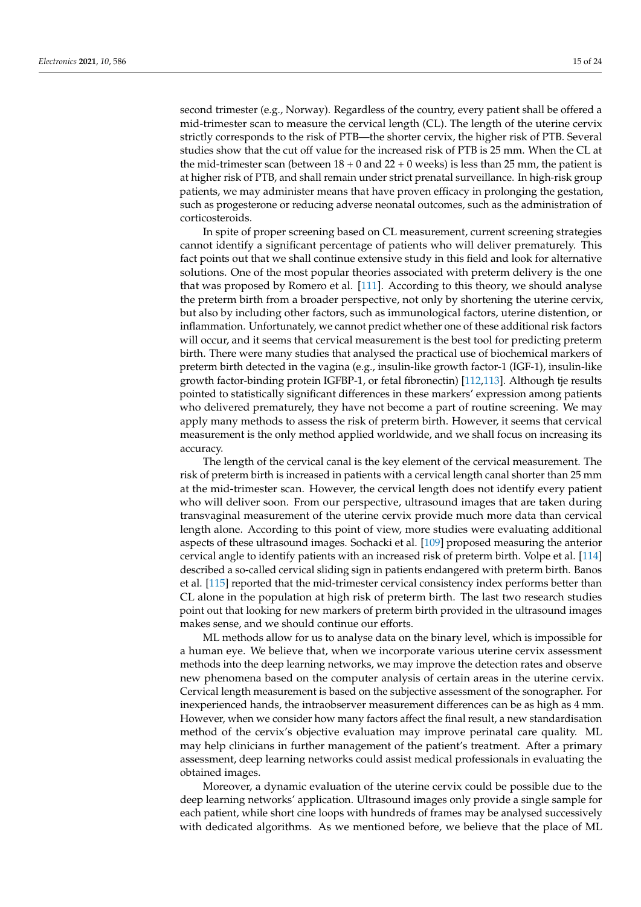corticosteroids.

second trimester (e.g., Norway). Regardless of the country, every patient shall be offered a mid-trimester scan to measure the cervical length (CL). The length of the uterine cervix strictly corresponds to the risk of PTB—the shorter cervix, the higher risk of PTB. Several studies show that the cut off value for the increased risk of PTB is 25 mm. When the CL at the mid-trimester scan (between  $18 + 0$  and  $22 + 0$  weeks) is less than 25 mm, the patient is at higher risk of PTB, and shall remain under strict prenatal surveillance. In high-risk group patients, we may administer means that have proven efficacy in prolonging the gestation, such as progesterone or reducing adverse neonatal outcomes, such as the administration of

In spite of proper screening based on CL measurement, current screening strategies cannot identify a significant percentage of patients who will deliver prematurely. This fact points out that we shall continue extensive study in this field and look for alternative solutions. One of the most popular theories associated with preterm delivery is the one that was proposed by Romero et al. [\[111\]](#page-22-28). According to this theory, we should analyse the preterm birth from a broader perspective, not only by shortening the uterine cervix, but also by including other factors, such as immunological factors, uterine distention, or inflammation. Unfortunately, we cannot predict whether one of these additional risk factors will occur, and it seems that cervical measurement is the best tool for predicting preterm birth. There were many studies that analysed the practical use of biochemical markers of preterm birth detected in the vagina (e.g., insulin-like growth factor-1 (IGF-1), insulin-like growth factor-binding protein IGFBP-1, or fetal fibronectin) [\[112,](#page-23-0)[113\]](#page-23-1). Although tje results pointed to statistically significant differences in these markers' expression among patients who delivered prematurely, they have not become a part of routine screening. We may apply many methods to assess the risk of preterm birth. However, it seems that cervical measurement is the only method applied worldwide, and we shall focus on increasing its accuracy.

The length of the cervical canal is the key element of the cervical measurement. The risk of preterm birth is increased in patients with a cervical length canal shorter than 25 mm at the mid-trimester scan. However, the cervical length does not identify every patient who will deliver soon. From our perspective, ultrasound images that are taken during transvaginal measurement of the uterine cervix provide much more data than cervical length alone. According to this point of view, more studies were evaluating additional aspects of these ultrasound images. Sochacki et al. [\[109\]](#page-22-26) proposed measuring the anterior cervical angle to identify patients with an increased risk of preterm birth. Volpe et al. [\[114\]](#page-23-2) described a so-called cervical sliding sign in patients endangered with preterm birth. Banos et al. [\[115\]](#page-23-3) reported that the mid-trimester cervical consistency index performs better than CL alone in the population at high risk of preterm birth. The last two research studies point out that looking for new markers of preterm birth provided in the ultrasound images makes sense, and we should continue our efforts.

ML methods allow for us to analyse data on the binary level, which is impossible for a human eye. We believe that, when we incorporate various uterine cervix assessment methods into the deep learning networks, we may improve the detection rates and observe new phenomena based on the computer analysis of certain areas in the uterine cervix. Cervical length measurement is based on the subjective assessment of the sonographer. For inexperienced hands, the intraobserver measurement differences can be as high as 4 mm. However, when we consider how many factors affect the final result, a new standardisation method of the cervix's objective evaluation may improve perinatal care quality. ML may help clinicians in further management of the patient's treatment. After a primary assessment, deep learning networks could assist medical professionals in evaluating the obtained images.

Moreover, a dynamic evaluation of the uterine cervix could be possible due to the deep learning networks' application. Ultrasound images only provide a single sample for each patient, while short cine loops with hundreds of frames may be analysed successively with dedicated algorithms. As we mentioned before, we believe that the place of ML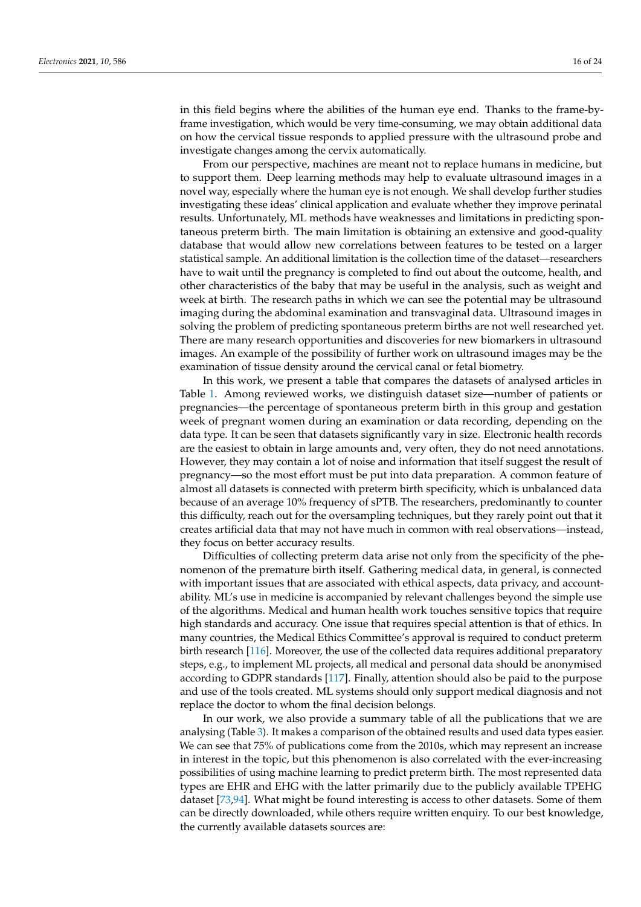in this field begins where the abilities of the human eye end. Thanks to the frame-byframe investigation, which would be very time-consuming, we may obtain additional data on how the cervical tissue responds to applied pressure with the ultrasound probe and investigate changes among the cervix automatically.

From our perspective, machines are meant not to replace humans in medicine, but to support them. Deep learning methods may help to evaluate ultrasound images in a novel way, especially where the human eye is not enough. We shall develop further studies investigating these ideas' clinical application and evaluate whether they improve perinatal results. Unfortunately, ML methods have weaknesses and limitations in predicting spontaneous preterm birth. The main limitation is obtaining an extensive and good-quality database that would allow new correlations between features to be tested on a larger statistical sample. An additional limitation is the collection time of the dataset—researchers have to wait until the pregnancy is completed to find out about the outcome, health, and other characteristics of the baby that may be useful in the analysis, such as weight and week at birth. The research paths in which we can see the potential may be ultrasound imaging during the abdominal examination and transvaginal data. Ultrasound images in solving the problem of predicting spontaneous preterm births are not well researched yet. There are many research opportunities and discoveries for new biomarkers in ultrasound images. An example of the possibility of further work on ultrasound images may be the examination of tissue density around the cervical canal or fetal biometry.

In this work, we present a table that compares the datasets of analysed articles in Table [1.](#page-6-0) Among reviewed works, we distinguish dataset size—number of patients or pregnancies—the percentage of spontaneous preterm birth in this group and gestation week of pregnant women during an examination or data recording, depending on the data type. It can be seen that datasets significantly vary in size. Electronic health records are the easiest to obtain in large amounts and, very often, they do not need annotations. However, they may contain a lot of noise and information that itself suggest the result of pregnancy—so the most effort must be put into data preparation. A common feature of almost all datasets is connected with preterm birth specificity, which is unbalanced data because of an average 10% frequency of sPTB. The researchers, predominantly to counter this difficulty, reach out for the oversampling techniques, but they rarely point out that it creates artificial data that may not have much in common with real observations—instead, they focus on better accuracy results.

Difficulties of collecting preterm data arise not only from the specificity of the phenomenon of the premature birth itself. Gathering medical data, in general, is connected with important issues that are associated with ethical aspects, data privacy, and accountability. ML's use in medicine is accompanied by relevant challenges beyond the simple use of the algorithms. Medical and human health work touches sensitive topics that require high standards and accuracy. One issue that requires special attention is that of ethics. In many countries, the Medical Ethics Committee's approval is required to conduct preterm birth research [\[116\]](#page-23-4). Moreover, the use of the collected data requires additional preparatory steps, e.g., to implement ML projects, all medical and personal data should be anonymised according to GDPR standards [\[117\]](#page-23-5). Finally, attention should also be paid to the purpose and use of the tools created. ML systems should only support medical diagnosis and not replace the doctor to whom the final decision belongs.

In our work, we also provide a summary table of all the publications that we are analysing (Table [3\)](#page-17-0). It makes a comparison of the obtained results and used data types easier. We can see that 75% of publications come from the 2010s, which may represent an increase in interest in the topic, but this phenomenon is also correlated with the ever-increasing possibilities of using machine learning to predict preterm birth. The most represented data types are EHR and EHG with the latter primarily due to the publicly available TPEHG dataset [\[73](#page-21-18)[,94\]](#page-22-11). What might be found interesting is access to other datasets. Some of them can be directly downloaded, while others require written enquiry. To our best knowledge, the currently available datasets sources are: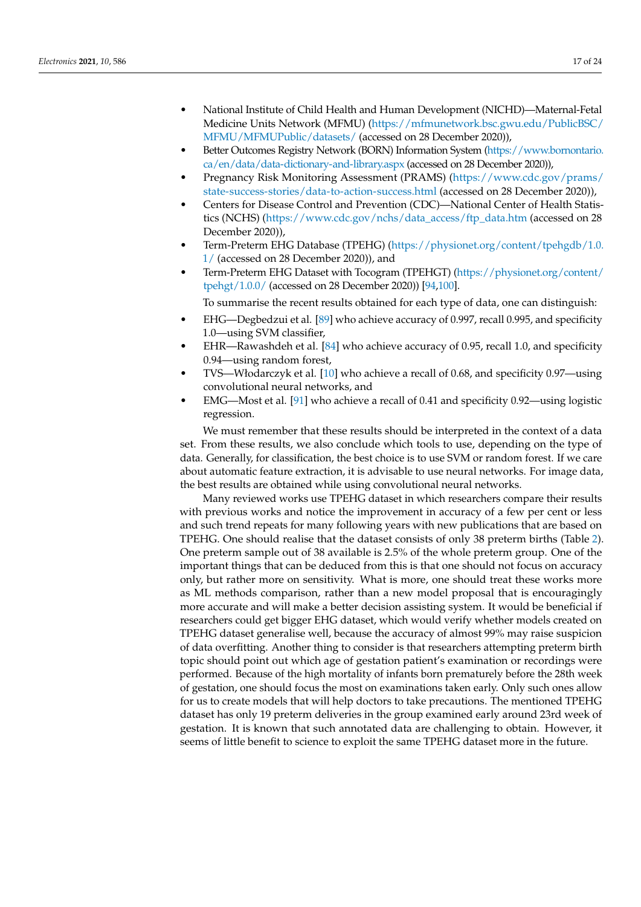- National Institute of Child Health and Human Development (NICHD)—Maternal-Fetal Medicine Units Network (MFMU) [\(https://mfmunetwork.bsc.gwu.edu/PublicBSC/](https://mfmunetwork.bsc.gwu.edu/PublicBSC/MFMU/MFMUPublic/datasets/) [MFMU/MFMUPublic/datasets/](https://mfmunetwork.bsc.gwu.edu/PublicBSC/MFMU/MFMUPublic/datasets/) (accessed on 28 December 2020)),
- Better Outcomes Registry Network (BORN) Information System [\(https://www.bornontario.](https://www.bornontario.ca/en/data/data-dictionary-and-library.aspx) [ca/en/data/data-dictionary-and-library.aspx](https://www.bornontario.ca/en/data/data-dictionary-and-library.aspx) (accessed on 28 December 2020)),
- Pregnancy Risk Monitoring Assessment (PRAMS) [\(https://www.cdc.gov/prams/](https://www.cdc.gov/prams/state-success-stories/data-to-action-success.html) [state-success-stories/data-to-action-success.html](https://www.cdc.gov/prams/state-success-stories/data-to-action-success.html) (accessed on 28 December 2020)),
- Centers for Disease Control and Prevention (CDC)—National Center of Health Statistics (NCHS) [\(https://www.cdc.gov/nchs/data\\_access/ftp\\_data.htm](https://www.cdc.gov/nchs/data_access/ftp_data.htm) (accessed on 28 December 2020)),
- Term-Preterm EHG Database (TPEHG) [\(https://physionet.org/content/tpehgdb/1.0.](https://physionet.org/content/tpehgdb/1.0.1/) [1/](https://physionet.org/content/tpehgdb/1.0.1/) (accessed on 28 December 2020)), and
- Term-Preterm EHG Dataset with Tocogram (TPEHGT) [\(https://physionet.org/content/](https://physionet.org/content/tpehgt/1.0.0/) [tpehgt/1.0.0/](https://physionet.org/content/tpehgt/1.0.0/) (accessed on 28 December 2020)) [\[94,](#page-22-11)[100\]](#page-22-17).

To summarise the recent results obtained for each type of data, one can distinguish:

- EHG—Degbedzui et al. [\[89\]](#page-22-6) who achieve accuracy of 0.997, recall 0.995, and specificity 1.0—using SVM classifier,
- EHR—Rawashdeh et al. [\[84\]](#page-22-1) who achieve accuracy of 0.95, recall 1.0, and specificity 0.94—using random forest,
- TVS—Włodarczyk et al. [\[10\]](#page-19-9) who achieve a recall of 0.68, and specificity 0.97—using convolutional neural networks, and
- EMG—Most et al. [\[91\]](#page-22-8) who achieve a recall of 0.41 and specificity 0.92—using logistic regression.

We must remember that these results should be interpreted in the context of a data set. From these results, we also conclude which tools to use, depending on the type of data. Generally, for classification, the best choice is to use SVM or random forest. If we care about automatic feature extraction, it is advisable to use neural networks. For image data, the best results are obtained while using convolutional neural networks.

Many reviewed works use TPEHG dataset in which researchers compare their results with previous works and notice the improvement in accuracy of a few per cent or less and such trend repeats for many following years with new publications that are based on TPEHG. One should realise that the dataset consists of only 38 preterm births (Table [2\)](#page-7-0). One preterm sample out of 38 available is 2.5% of the whole preterm group. One of the important things that can be deduced from this is that one should not focus on accuracy only, but rather more on sensitivity. What is more, one should treat these works more as ML methods comparison, rather than a new model proposal that is encouragingly more accurate and will make a better decision assisting system. It would be beneficial if researchers could get bigger EHG dataset, which would verify whether models created on TPEHG dataset generalise well, because the accuracy of almost 99% may raise suspicion of data overfitting. Another thing to consider is that researchers attempting preterm birth topic should point out which age of gestation patient's examination or recordings were performed. Because of the high mortality of infants born prematurely before the 28th week of gestation, one should focus the most on examinations taken early. Only such ones allow for us to create models that will help doctors to take precautions. The mentioned TPEHG dataset has only 19 preterm deliveries in the group examined early around 23rd week of gestation. It is known that such annotated data are challenging to obtain. However, it seems of little benefit to science to exploit the same TPEHG dataset more in the future.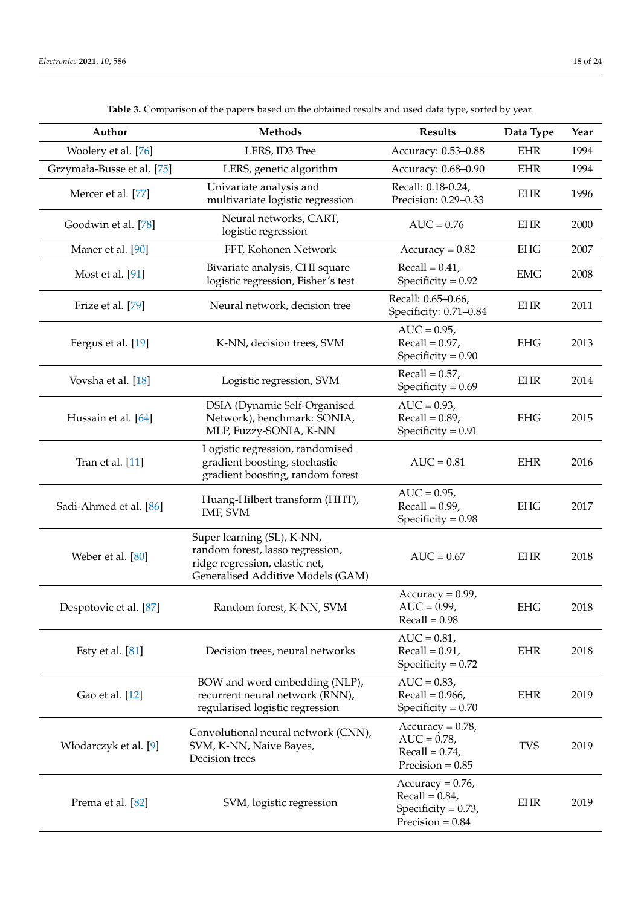<span id="page-17-0"></span> $\overline{a}$ 

| Author                     | <b>Methods</b>                                                                                                                        | <b>Results</b>                                                                   | Data Type  | Year |
|----------------------------|---------------------------------------------------------------------------------------------------------------------------------------|----------------------------------------------------------------------------------|------------|------|
| Woolery et al. [76]        | LERS, ID3 Tree                                                                                                                        | Accuracy: 0.53-0.88                                                              | <b>EHR</b> | 1994 |
| Grzymała-Busse et al. [75] | LERS, genetic algorithm                                                                                                               | Accuracy: 0.68-0.90                                                              | <b>EHR</b> | 1994 |
| Mercer et al. [77]         | Univariate analysis and<br>multivariate logistic regression                                                                           | Recall: 0.18-0.24,<br>Precision: 0.29-0.33                                       | <b>EHR</b> | 1996 |
| Goodwin et al. [78]        | Neural networks, CART,<br>logistic regression                                                                                         | $AUC = 0.76$                                                                     | <b>EHR</b> | 2000 |
| Maner et al. [90]          | FFT, Kohonen Network                                                                                                                  | $Accuracy = 0.82$                                                                | <b>EHG</b> | 2007 |
| Most et al. [91]           | Bivariate analysis, CHI square<br>logistic regression, Fisher's test                                                                  | $Recall = 0.41$ ,<br>Specificity = $0.92$                                        | <b>EMG</b> | 2008 |
| Frize et al. [79]          | Neural network, decision tree                                                                                                         | Recall: 0.65-0.66,<br>Specificity: 0.71-0.84                                     | <b>EHR</b> | 2011 |
| Fergus et al. [19]         | K-NN, decision trees, SVM                                                                                                             | $AUC = 0.95$ ,<br>$Recall = 0.97$ ,<br>Specificity = $0.90$                      | <b>EHG</b> | 2013 |
| Vovsha et al. [18]         | Logistic regression, SVM                                                                                                              | $Recall = 0.57$ ,<br>Specificity = $0.69$                                        | <b>EHR</b> | 2014 |
| Hussain et al. [64]        | DSIA (Dynamic Self-Organised<br>Network), benchmark: SONIA,<br>MLP, Fuzzy-SONIA, K-NN                                                 | $AUC = 0.93$ ,<br>$Recall = 0.89$ ,<br>Specificity = $0.91$                      | <b>EHG</b> | 2015 |
| Tran et al. [11]           | Logistic regression, randomised<br>gradient boosting, stochastic<br>gradient boosting, random forest                                  | $AUC = 0.81$                                                                     | <b>EHR</b> | 2016 |
| Sadi-Ahmed et al. [86]     | Huang-Hilbert transform (HHT),<br>IMF, SVM                                                                                            | $AUC = 0.95$ ,<br>$Recall = 0.99$ ,<br>Specificity = $0.98$                      | <b>EHG</b> | 2017 |
| Weber et al. [80]          | Super learning (SL), K-NN,<br>random forest, lasso regression,<br>ridge regression, elastic net,<br>Generalised Additive Models (GAM) | $AUC = 0.67$                                                                     | <b>EHR</b> | 2018 |
| Despotovic et al. [87]     | Random forest, K-NN, SVM                                                                                                              | $Accuracy = 0.99$ ,<br>$AUC = 0.99$ ,<br>$Recall = 0.98$                         | <b>EHG</b> | 2018 |
| Esty et al. $[81]$         | Decision trees, neural networks                                                                                                       | $AUC = 0.81$ ,<br>$Recall = 0.91$ ,<br>Specificity = $0.72$                      | <b>EHR</b> | 2018 |
| Gao et al. [12]            | BOW and word embedding (NLP),<br>recurrent neural network (RNN),<br>regularised logistic regression                                   | $AUC = 0.83$ ,<br>Recall = $0.966$ ,<br>Specificity = $0.70$                     | <b>EHR</b> | 2019 |
| Włodarczyk et al. [9]      | Convolutional neural network (CNN),<br>SVM, K-NN, Naive Bayes,<br>Decision trees                                                      | $Accuracy = 0.78$ ,<br>$AUC = 0.78$ ,<br>Recall = $0.74$ ,<br>Precision = $0.85$ | <b>TVS</b> | 2019 |
| Prema et al. [82]          | SVM, logistic regression                                                                                                              | Accuracy = $0.76$ ,<br>$Recall = 0.84$ ,<br>Specificity = $0.73$ ,               | <b>EHR</b> | 2019 |

Precision = 0.84

**Table 3.** Comparison of the papers based on the obtained results and used data type, sorted by year.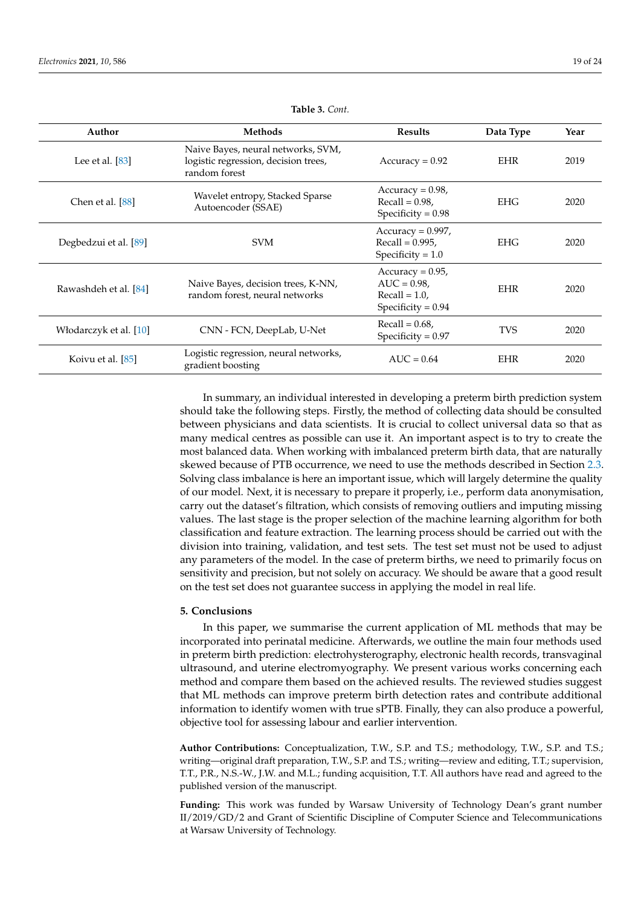| Author                 | Methods                                                                                     | <b>Results</b>                                                                    | Data Type  | Year |
|------------------------|---------------------------------------------------------------------------------------------|-----------------------------------------------------------------------------------|------------|------|
| Lee et al. $[83]$      | Naive Bayes, neural networks, SVM,<br>logistic regression, decision trees,<br>random forest | $Accuracy = 0.92$                                                                 | <b>EHR</b> | 2019 |
| Chen et al. [88]       | Wavelet entropy, Stacked Sparse<br>Autoencoder (SSAE)                                       | $Accuracy = 0.98$ ,<br>$Recall = 0.98$ ,<br>Specificity = $0.98$                  | <b>EHG</b> | 2020 |
| Degbedzui et al. [89]  | <b>SVM</b>                                                                                  | $Accuracy = 0.997$ ,<br>$Recall = 0.995$ ,<br>Specificity = $1.0$                 | <b>EHG</b> | 2020 |
| Rawashdeh et al. [84]  | Naive Bayes, decision trees, K-NN,<br>random forest, neural networks                        | $Accuracy = 0.95$ ,<br>$AUC = 0.98$ ,<br>$Recall = 1.0$ ,<br>Specificity = $0.94$ | <b>EHR</b> | 2020 |
| Włodarczyk et al. [10] | CNN - FCN, DeepLab, U-Net                                                                   | Recall = $0.68$ ,<br>Specificity = $0.97$                                         | <b>TVS</b> | 2020 |
| Koivu et al. [85]      | Logistic regression, neural networks,<br>gradient boosting                                  | $AUC = 0.64$                                                                      | <b>EHR</b> | 2020 |

#### **Table 3.** *Cont.*

In summary, an individual interested in developing a preterm birth prediction system should take the following steps. Firstly, the method of collecting data should be consulted between physicians and data scientists. It is crucial to collect universal data so that as many medical centres as possible can use it. An important aspect is to try to create the most balanced data. When working with imbalanced preterm birth data, that are naturally skewed because of PTB occurrence, we need to use the methods described in Section [2.3.](#page-2-1) Solving class imbalance is here an important issue, which will largely determine the quality of our model. Next, it is necessary to prepare it properly, i.e., perform data anonymisation, carry out the dataset's filtration, which consists of removing outliers and imputing missing values. The last stage is the proper selection of the machine learning algorithm for both classification and feature extraction. The learning process should be carried out with the division into training, validation, and test sets. The test set must not be used to adjust any parameters of the model. In the case of preterm births, we need to primarily focus on sensitivity and precision, but not solely on accuracy. We should be aware that a good result on the test set does not guarantee success in applying the model in real life.

# <span id="page-18-0"></span>**5. Conclusions**

In this paper, we summarise the current application of ML methods that may be incorporated into perinatal medicine. Afterwards, we outline the main four methods used in preterm birth prediction: electrohysterography, electronic health records, transvaginal ultrasound, and uterine electromyography. We present various works concerning each method and compare them based on the achieved results. The reviewed studies suggest that ML methods can improve preterm birth detection rates and contribute additional information to identify women with true sPTB. Finally, they can also produce a powerful, objective tool for assessing labour and earlier intervention.

**Author Contributions:** Conceptualization, T.W., S.P. and T.S.; methodology, T.W., S.P. and T.S.; writing—original draft preparation, T.W., S.P. and T.S.; writing—review and editing, T.T.; supervision, T.T., P.R., N.S.-W., J.W. and M.L.; funding acquisition, T.T. All authors have read and agreed to the published version of the manuscript.

**Funding:** This work was funded by Warsaw University of Technology Dean's grant number II/2019/GD/2 and Grant of Scientific Discipline of Computer Science and Telecommunications at Warsaw University of Technology.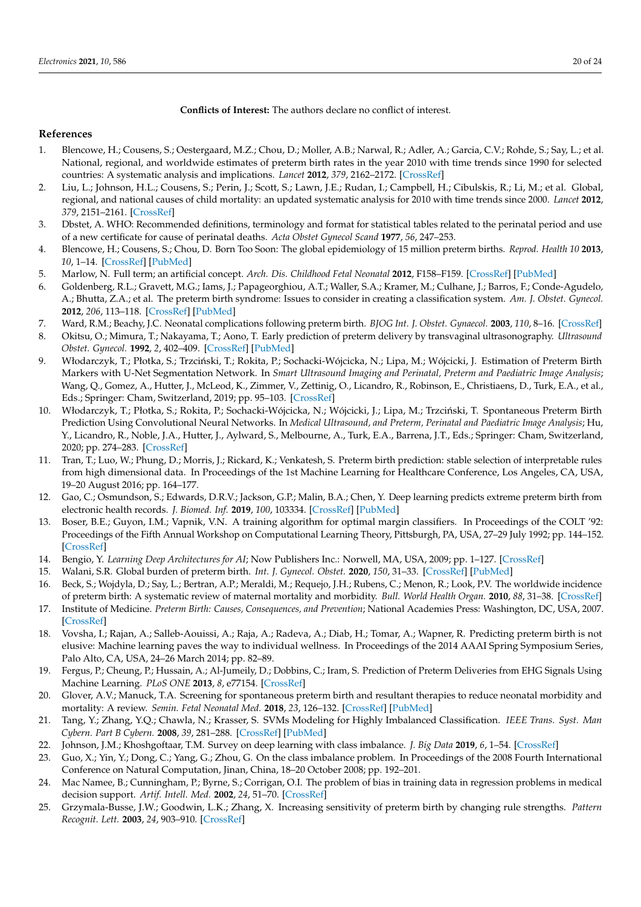**Conflicts of Interest:** The authors declare no conflict of interest.

# **References**

- <span id="page-19-0"></span>1. Blencowe, H.; Cousens, S.; Oestergaard, M.Z.; Chou, D.; Moller, A.B.; Narwal, R.; Adler, A.; Garcia, C.V.; Rohde, S.; Say, L.; et al. National, regional, and worldwide estimates of preterm birth rates in the year 2010 with time trends since 1990 for selected countries: A systematic analysis and implications. *Lancet* **2012**, *379*, 2162–2172. [\[CrossRef\]](http://doi.org/10.1016/S0140-6736(12)60820-4)
- <span id="page-19-1"></span>2. Liu, L.; Johnson, H.L.; Cousens, S.; Perin, J.; Scott, S.; Lawn, J.E.; Rudan, I.; Campbell, H.; Cibulskis, R.; Li, M.; et al. Global, regional, and national causes of child mortality: an updated systematic analysis for 2010 with time trends since 2000. *Lancet* **2012**, *379*, 2151–2161. [\[CrossRef\]](http://dx.doi.org/10.1016/S0140-6736(12)60560-1)
- <span id="page-19-2"></span>3. Dbstet, A. WHO: Recommended definitions, terminology and format for statistical tables related to the perinatal period and use of a new certificate for cause of perinatal deaths. *Acta Obstet Gynecol Scand* **1977**, *56*, 247–253.
- <span id="page-19-3"></span>4. Blencowe, H.; Cousens, S.; Chou, D. Born Too Soon: The global epidemiology of 15 million preterm births. *Reprod. Health 10* **2013**, *10*, 1–14. [\[CrossRef\]](http://dx.doi.org/10.1186/1742-4755-10-S1-S2) [\[PubMed\]](http://www.ncbi.nlm.nih.gov/pubmed/24625129)
- <span id="page-19-4"></span>5. Marlow, N. Full term; an artificial concept. *Arch. Dis. Childhood Fetal Neonatal* **2012**, F158–F159. [\[CrossRef\]](http://dx.doi.org/10.1136/fetalneonatal-2011-301507) [\[PubMed\]](http://www.ncbi.nlm.nih.gov/pubmed/22262663)
- <span id="page-19-5"></span>6. Goldenberg, R.L.; Gravett, M.G.; Iams, J.; Papageorghiou, A.T.; Waller, S.A.; Kramer, M.; Culhane, J.; Barros, F.; Conde-Agudelo, A.; Bhutta, Z.A.; et al. The preterm birth syndrome: Issues to consider in creating a classification system. *Am. J. Obstet. Gynecol.* **2012**, *206*, 113–118. [\[CrossRef\]](http://dx.doi.org/10.1016/j.ajog.2011.10.865) [\[PubMed\]](http://www.ncbi.nlm.nih.gov/pubmed/22177186)
- <span id="page-19-6"></span>7. Ward, R.M.; Beachy, J.C. Neonatal complications following preterm birth. *BJOG Int. J. Obstet. Gynaecol.* **2003**, *110*, 8–16. [\[CrossRef\]](http://dx.doi.org/10.1016/S1470-0328(03)00012-0)
- <span id="page-19-7"></span>8. Okitsu, O.; Mimura, T.; Nakayama, T.; Aono, T. Early prediction of preterm delivery by transvaginal ultrasonography. *Ultrasound Obstet. Gynecol.* **1992**, *2*, 402–409. [\[CrossRef\]](http://dx.doi.org/10.1046/j.1469-0705.1992.02060402.x) [\[PubMed\]](http://www.ncbi.nlm.nih.gov/pubmed/12796914)
- <span id="page-19-8"></span>9. Włodarczyk, T.; Płotka, S.; Trzciński, T.; Rokita, P.; Sochacki-Wójcicka, N.; Lipa, M.; Wójcicki, J. Estimation of Preterm Birth Markers with U-Net Segmentation Network. In *Smart Ultrasound Imaging and Perinatal, Preterm and Paediatric Image Analysis*; Wang, Q., Gomez, A., Hutter, J., McLeod, K., Zimmer, V., Zettinig, O., Licandro, R., Robinson, E., Christiaens, D., Turk, E.A., et al., Eds.; Springer: Cham, Switzerland, 2019; pp. 95–103. [\[CrossRef\]](http://dx.doi.org/10.1007/978-3-030-32875-7_11)
- <span id="page-19-9"></span>10. Włodarczyk, T.; Płotka, S.; Rokita, P.; Sochacki-Wójcicka, N.; Wójcicki, J.; Lipa, M.; Trzciński, T. Spontaneous Preterm Birth Prediction Using Convolutional Neural Networks. In *Medical Ultrasound, and Preterm, Perinatal and Paediatric Image Analysis*; Hu, Y., Licandro, R., Noble, J.A., Hutter, J., Aylward, S., Melbourne, A., Turk, E.A., Barrena, J.T., Eds.; Springer: Cham, Switzerland, 2020; pp. 274–283. [\[CrossRef\]](http://dx.doi.org/10.1007/978-3-030-60334-2_27)
- <span id="page-19-10"></span>11. Tran, T.; Luo, W.; Phung, D.; Morris, J.; Rickard, K.; Venkatesh, S. Preterm birth prediction: stable selection of interpretable rules from high dimensional data. In Proceedings of the 1st Machine Learning for Healthcare Conference, Los Angeles, CA, USA, 19–20 August 2016; pp. 164–177.
- <span id="page-19-11"></span>12. Gao, C.; Osmundson, S.; Edwards, D.R.V.; Jackson, G.P.; Malin, B.A.; Chen, Y. Deep learning predicts extreme preterm birth from electronic health records. *J. Biomed. Inf.* **2019**, *100*, 103334. [\[CrossRef\]](http://dx.doi.org/10.1016/j.jbi.2019.103334) [\[PubMed\]](http://www.ncbi.nlm.nih.gov/pubmed/31678588)
- <span id="page-19-12"></span>13. Boser, B.E.; Guyon, I.M.; Vapnik, V.N. A training algorithm for optimal margin classifiers. In Proceedings of the COLT '92: Proceedings of the Fifth Annual Workshop on Computational Learning Theory, Pittsburgh, PA, USA, 27–29 July 1992; pp. 144–152. [\[CrossRef\]](http://dx.doi.org/10.1145/130385.130401)
- <span id="page-19-13"></span>14. Bengio, Y. *Learning Deep Architectures for AI*; Now Publishers Inc.: Norwell, MA, USA, 2009; pp. 1–127. [\[CrossRef\]](http://dx.doi.org/10.1561/2200000006)
- <span id="page-19-14"></span>15. Walani, S.R. Global burden of preterm birth. *Int. J. Gynecol. Obstet.* **2020**, *150*, 31–33. [\[CrossRef\]](http://dx.doi.org/10.1002/ijgo.13195) [\[PubMed\]](http://www.ncbi.nlm.nih.gov/pubmed/32524596)
- <span id="page-19-15"></span>16. Beck, S.; Wojdyla, D.; Say, L.; Bertran, A.P.; Meraldi, M.; Requejo, J.H.; Rubens, C.; Menon, R.; Look, P.V. The worldwide incidence of preterm birth: A systematic review of maternal mortality and morbidity. *Bull. World Health Organ.* **2010**, *88*, 31–38. [\[CrossRef\]](http://dx.doi.org/10.2471/BLT.08.062554)
- <span id="page-19-16"></span>17. Institute of Medicine. *Preterm Birth: Causes, Consequences, and Prevention*; National Academies Press: Washington, DC, USA, 2007. [\[CrossRef\]](http://dx.doi.org/10.17226/11622)
- <span id="page-19-17"></span>18. Vovsha, I.; Rajan, A.; Salleb-Aouissi, A.; Raja, A.; Radeva, A.; Diab, H.; Tomar, A.; Wapner, R. Predicting preterm birth is not elusive: Machine learning paves the way to individual wellness. In Proceedings of the 2014 AAAI Spring Symposium Series, Palo Alto, CA, USA, 24–26 March 2014; pp. 82–89.
- <span id="page-19-18"></span>19. Fergus, P.; Cheung, P.; Hussain, A.; Al-Jumeily, D.; Dobbins, C.; Iram, S. Prediction of Preterm Deliveries from EHG Signals Using Machine Learning. *PLoS ONE* **2013**, *8*, e77154. [\[CrossRef\]](http://dx.doi.org/10.1371/journal.pone.0077154)
- <span id="page-19-19"></span>20. Glover, A.V.; Manuck, T.A. Screening for spontaneous preterm birth and resultant therapies to reduce neonatal morbidity and mortality: A review. *Semin. Fetal Neonatal Med.* **2018**, *23*, 126–132. [\[CrossRef\]](http://dx.doi.org/10.1016/j.siny.2017.11.007) [\[PubMed\]](http://www.ncbi.nlm.nih.gov/pubmed/29229486)
- <span id="page-19-20"></span>21. Tang, Y.; Zhang, Y.Q.; Chawla, N.; Krasser, S. SVMs Modeling for Highly Imbalanced Classification. *IEEE Trans. Syst. Man Cybern. Part B Cybern.* **2008**, *39*, 281–288. [\[CrossRef\]](http://dx.doi.org/10.1109/TSMCB.2008.2002909) [\[PubMed\]](http://www.ncbi.nlm.nih.gov/pubmed/19068445)
- <span id="page-19-21"></span>22. Johnson, J.M.; Khoshgoftaar, T.M. Survey on deep learning with class imbalance. *J. Big Data* **2019**, *6*, 1–54. [\[CrossRef\]](http://dx.doi.org/10.1186/s40537-019-0192-5)
- <span id="page-19-22"></span>23. Guo, X.; Yin, Y.; Dong, C.; Yang, G.; Zhou, G. On the class imbalance problem. In Proceedings of the 2008 Fourth International Conference on Natural Computation, Jinan, China, 18–20 October 2008; pp. 192–201.
- <span id="page-19-23"></span>24. Mac Namee, B.; Cunningham, P.; Byrne, S.; Corrigan, O.I. The problem of bias in training data in regression problems in medical decision support. *Artif. Intell. Med.* **2002**, *24*, 51–70. [\[CrossRef\]](http://dx.doi.org/10.1016/S0933-3657(01)00092-6)
- <span id="page-19-24"></span>25. Grzymala-Busse, J.W.; Goodwin, L.K.; Zhang, X. Increasing sensitivity of preterm birth by changing rule strengths. *Pattern Recognit. Lett.* **2003**, *24*, 903–910. [\[CrossRef\]](http://dx.doi.org/10.1016/S0167-8655(02)00202-7)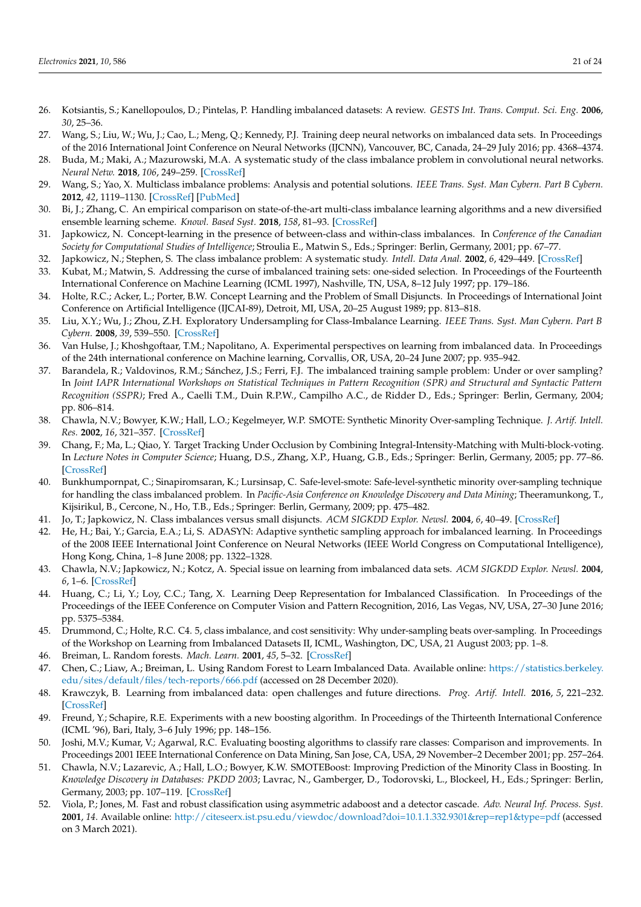- <span id="page-20-0"></span>26. Kotsiantis, S.; Kanellopoulos, D.; Pintelas, P. Handling imbalanced datasets: A review. *GESTS Int. Trans. Comput. Sci. Eng.* **2006**, *30*, 25–36.
- <span id="page-20-1"></span>27. Wang, S.; Liu, W.; Wu, J.; Cao, L.; Meng, Q.; Kennedy, P.J. Training deep neural networks on imbalanced data sets. In Proceedings of the 2016 International Joint Conference on Neural Networks (IJCNN), Vancouver, BC, Canada, 24–29 July 2016; pp. 4368–4374.
- <span id="page-20-2"></span>28. Buda, M.; Maki, A.; Mazurowski, M.A. A systematic study of the class imbalance problem in convolutional neural networks. *Neural Netw.* **2018**, *106*, 249–259. [\[CrossRef\]](http://dx.doi.org/10.1016/j.neunet.2018.07.011)
- <span id="page-20-3"></span>29. Wang, S.; Yao, X. Multiclass imbalance problems: Analysis and potential solutions. *IEEE Trans. Syst. Man Cybern. Part B Cybern.* **2012**, *42*, 1119–1130. [\[CrossRef\]](http://dx.doi.org/10.1109/TSMCB.2012.2187280) [\[PubMed\]](http://www.ncbi.nlm.nih.gov/pubmed/22438514)
- <span id="page-20-4"></span>30. Bi, J.; Zhang, C. An empirical comparison on state-of-the-art multi-class imbalance learning algorithms and a new diversified ensemble learning scheme. *Knowl. Based Syst.* **2018**, *158*, 81–93. [\[CrossRef\]](http://dx.doi.org/10.1016/j.knosys.2018.05.037)
- <span id="page-20-5"></span>31. Japkowicz, N. Concept-learning in the presence of between-class and within-class imbalances. In *Conference of the Canadian Society for Computational Studies of Intelligence*; Stroulia E., Matwin S., Eds.; Springer: Berlin, Germany, 2001; pp. 67–77.
- 32. Japkowicz, N.; Stephen, S. The class imbalance problem: A systematic study. *Intell. Data Anal.* **2002**, *6*, 429–449. [\[CrossRef\]](http://dx.doi.org/10.3233/IDA-2002-6504)
- <span id="page-20-8"></span>33. Kubat, M.; Matwin, S. Addressing the curse of imbalanced training sets: one-sided selection. In Proceedings of the Fourteenth International Conference on Machine Learning (ICML 1997), Nashville, TN, USA, 8–12 July 1997; pp. 179–186.
- 34. Holte, R.C.; Acker, L.; Porter, B.W. Concept Learning and the Problem of Small Disjuncts. In Proceedings of International Joint Conference on Artificial Intelligence (IJCAI-89), Detroit, MI, USA, 20–25 August 1989; pp. 813–818.
- <span id="page-20-6"></span>35. Liu, X.Y.; Wu, J.; Zhou, Z.H. Exploratory Undersampling for Class-Imbalance Learning. *IEEE Trans. Syst. Man Cybern. Part B Cybern.* **2008**, *39*, 539–550. [\[CrossRef\]](http://dx.doi.org/10.1109/tsmcb.2008.2007853)
- <span id="page-20-7"></span>36. Van Hulse, J.; Khoshgoftaar, T.M.; Napolitano, A. Experimental perspectives on learning from imbalanced data. In Proceedings of the 24th international conference on Machine learning, Corvallis, OR, USA, 20–24 June 2007; pp. 935–942.
- <span id="page-20-9"></span>37. Barandela, R.; Valdovinos, R.M.; Sánchez, J.S.; Ferri, F.J. The imbalanced training sample problem: Under or over sampling? In *Joint IAPR International Workshops on Statistical Techniques in Pattern Recognition (SPR) and Structural and Syntactic Pattern Recognition (SSPR)*; Fred A., Caelli T.M., Duin R.P.W., Campilho A.C., de Ridder D., Eds.; Springer: Berlin, Germany, 2004; pp. 806–814.
- <span id="page-20-10"></span>38. Chawla, N.V.; Bowyer, K.W.; Hall, L.O.; Kegelmeyer, W.P. SMOTE: Synthetic Minority Over-sampling Technique. *J. Artif. Intell. Res.* **2002**, *16*, 321–357. [\[CrossRef\]](http://dx.doi.org/10.1613/jair.953)
- <span id="page-20-11"></span>39. Chang, F.; Ma, L.; Qiao, Y. Target Tracking Under Occlusion by Combining Integral-Intensity-Matching with Multi-block-voting. In *Lecture Notes in Computer Science*; Huang, D.S., Zhang, X.P., Huang, G.B., Eds.; Springer: Berlin, Germany, 2005; pp. 77–86. [\[CrossRef\]](http://dx.doi.org/10.1007/11538059_9)
- <span id="page-20-12"></span>40. Bunkhumpornpat, C.; Sinapiromsaran, K.; Lursinsap, C. Safe-level-smote: Safe-level-synthetic minority over-sampling technique for handling the class imbalanced problem. In *Pacific-Asia Conference on Knowledge Discovery and Data Mining*; Theeramunkong, T., Kijsirikul, B., Cercone, N., Ho, T.B., Eds.; Springer: Berlin, Germany, 2009; pp. 475–482.
- <span id="page-20-13"></span>41. Jo, T.; Japkowicz, N. Class imbalances versus small disjuncts. *ACM SIGKDD Explor. Newsl.* **2004**, *6*, 40–49. [\[CrossRef\]](http://dx.doi.org/10.1145/1007730.1007737)
- <span id="page-20-14"></span>42. He, H.; Bai, Y.; Garcia, E.A.; Li, S. ADASYN: Adaptive synthetic sampling approach for imbalanced learning. In Proceedings of the 2008 IEEE International Joint Conference on Neural Networks (IEEE World Congress on Computational Intelligence), Hong Kong, China, 1–8 June 2008; pp. 1322–1328.
- <span id="page-20-15"></span>43. Chawla, N.V.; Japkowicz, N.; Kotcz, A. Special issue on learning from imbalanced data sets. *ACM SIGKDD Explor. Newsl.* **2004**, *6*, 1–6. [\[CrossRef\]](http://dx.doi.org/10.1145/1007730.1007733)
- <span id="page-20-16"></span>44. Huang, C.; Li, Y.; Loy, C.C.; Tang, X. Learning Deep Representation for Imbalanced Classification. In Proceedings of the Proceedings of the IEEE Conference on Computer Vision and Pattern Recognition, 2016, Las Vegas, NV, USA, 27–30 June 2016; pp. 5375–5384.
- <span id="page-20-17"></span>45. Drummond, C.; Holte, R.C. C4. 5, class imbalance, and cost sensitivity: Why under-sampling beats over-sampling. In Proceedings of the Workshop on Learning from Imbalanced Datasets II, ICML, Washington, DC, USA, 21 August 2003; pp. 1–8.
- <span id="page-20-18"></span>46. Breiman, L. Random forests. *Mach. Learn.* **2001**, *45*, 5–32. [\[CrossRef\]](http://dx.doi.org/10.1023/A:1010933404324)
- <span id="page-20-19"></span>47. Chen, C.; Liaw, A.; Breiman, L. Using Random Forest to Learn Imbalanced Data. Available online: [https://statistics.berkeley.](https://statistics.berkeley.edu/sites/default/files/tech-reports/666.pdf) [edu/sites/default/files/tech-reports/666.pdf](https://statistics.berkeley.edu/sites/default/files/tech-reports/666.pdf) (accessed on 28 December 2020).
- <span id="page-20-20"></span>48. Krawczyk, B. Learning from imbalanced data: open challenges and future directions. *Prog. Artif. Intell.* **2016**, *5*, 221–232. [\[CrossRef\]](http://dx.doi.org/10.1007/s13748-016-0094-0)
- <span id="page-20-21"></span>49. Freund, Y.; Schapire, R.E. Experiments with a new boosting algorithm. In Proceedings of the Thirteenth International Conference (ICML '96), Bari, Italy, 3–6 July 1996; pp. 148–156.
- <span id="page-20-22"></span>50. Joshi, M.V.; Kumar, V.; Agarwal, R.C. Evaluating boosting algorithms to classify rare classes: Comparison and improvements. In Proceedings 2001 IEEE International Conference on Data Mining, San Jose, CA, USA, 29 November–2 December 2001; pp. 257–264.
- <span id="page-20-23"></span>51. Chawla, N.V.; Lazarevic, A.; Hall, L.O.; Bowyer, K.W. SMOTEBoost: Improving Prediction of the Minority Class in Boosting. In *Knowledge Discovery in Databases: PKDD 2003*; Lavrac, N., Gamberger, D., Todorovski, L., Blockeel, H., Eds.; Springer: Berlin, Germany, 2003; pp. 107–119. [\[CrossRef\]](http://dx.doi.org/10.1007/978-3-540-39804-2_12)
- <span id="page-20-24"></span>52. Viola, P.; Jones, M. Fast and robust classification using asymmetric adaboost and a detector cascade. *Adv. Neural Inf. Process. Syst.* **2001**, *14*. Available online: <http://citeseerx.ist.psu.edu/viewdoc/download?doi=10.1.1.332.9301&rep=rep1&type=pdf> (accessed on 3 March 2021).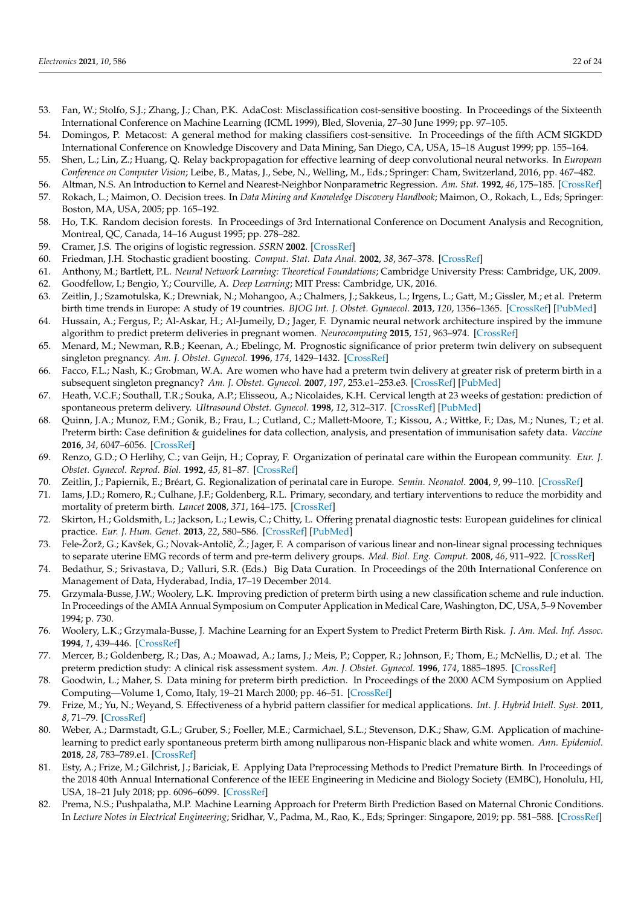- <span id="page-21-0"></span>53. Fan, W.; Stolfo, S.J.; Zhang, J.; Chan, P.K. AdaCost: Misclassification cost-sensitive boosting. In Proceedings of the Sixteenth International Conference on Machine Learning (ICML 1999), Bled, Slovenia, 27–30 June 1999; pp. 97–105.
- <span id="page-21-1"></span>54. Domingos, P. Metacost: A general method for making classifiers cost-sensitive. In Proceedings of the fifth ACM SIGKDD International Conference on Knowledge Discovery and Data Mining, San Diego, CA, USA, 15–18 August 1999; pp. 155–164.
- <span id="page-21-2"></span>55. Shen, L.; Lin, Z.; Huang, Q. Relay backpropagation for effective learning of deep convolutional neural networks. In *European Conference on Computer Vision*; Leibe, B., Matas, J., Sebe, N., Welling, M., Eds.; Springer: Cham, Switzerland, 2016, pp. 467–482.
- <span id="page-21-3"></span>56. Altman, N.S. An Introduction to Kernel and Nearest-Neighbor Nonparametric Regression. *Am. Stat.* **1992**, *46*, 175–185. [\[CrossRef\]](http://dx.doi.org/10.1080/00031305.1992.10475879)
- <span id="page-21-4"></span>57. Rokach, L.; Maimon, O. Decision trees. In *Data Mining and Knowledge Discovery Handbook*; Maimon, O., Rokach, L., Eds; Springer: Boston, MA, USA, 2005; pp. 165–192.
- <span id="page-21-5"></span>58. Ho, T.K. Random decision forests. In Proceedings of 3rd International Conference on Document Analysis and Recognition, Montreal, QC, Canada, 14–16 August 1995; pp. 278–282.
- <span id="page-21-6"></span>59. Cramer, J.S. The origins of logistic regression. *SSRN* **2002**. [\[CrossRef\]](http://dx.doi.org/10.2139/ssrn.360300)
- <span id="page-21-7"></span>60. Friedman, J.H. Stochastic gradient boosting. *Comput. Stat. Data Anal.* **2002**, *38*, 367–378. [\[CrossRef\]](http://dx.doi.org/10.1016/S0167-9473(01)00065-2)
- <span id="page-21-8"></span>61. Anthony, M.; Bartlett, P.L. *Neural Network Learning: Theoretical Foundations*; Cambridge University Press: Cambridge, UK, 2009.
- <span id="page-21-9"></span>62. Goodfellow, I.; Bengio, Y.; Courville, A. *Deep Learning*; MIT Press: Cambridge, UK, 2016.
- <span id="page-21-10"></span>63. Zeitlin, J.; Szamotulska, K.; Drewniak, N.; Mohangoo, A.; Chalmers, J.; Sakkeus, L.; Irgens, L.; Gatt, M.; Gissler, M.; et al. Preterm birth time trends in Europe: A study of 19 countries. *BJOG Int. J. Obstet. Gynaecol.* **2013**, *120*, 1356–1365. [\[CrossRef\]](http://dx.doi.org/10.1111/1471-0528.12281) [\[PubMed\]](http://www.ncbi.nlm.nih.gov/pubmed/23700966)
- <span id="page-21-11"></span>64. Hussain, A.; Fergus, P.; Al-Askar, H.; Al-Jumeily, D.; Jager, F. Dynamic neural network architecture inspired by the immune algorithm to predict preterm deliveries in pregnant women. *Neurocomputing* **2015**, *151*, 963–974. [\[CrossRef\]](http://dx.doi.org/10.1016/j.neucom.2014.03.087)
- <span id="page-21-12"></span>65. Menard, M.; Newman, R.B.; Keenan, A.; Ebelingc, M. Prognostic significance of prior preterm twin delivery on subsequent singleton pregnancy. *Am. J. Obstet. Gynecol.* **1996**, *174*, 1429–1432. [\[CrossRef\]](http://dx.doi.org/10.1016/S0002-9378(96)70584-7)
- <span id="page-21-13"></span>66. Facco, F.L.; Nash, K.; Grobman, W.A. Are women who have had a preterm twin delivery at greater risk of preterm birth in a subsequent singleton pregnancy? *Am. J. Obstet. Gynecol.* **2007**, *197*, 253.e1–253.e3. [\[CrossRef\]](http://dx.doi.org/10.1016/j.ajog.2007.06.049) [\[PubMed\]](http://www.ncbi.nlm.nih.gov/pubmed/17826408)
- <span id="page-21-14"></span>67. Heath, V.C.F.; Southall, T.R.; Souka, A.P.; Elisseou, A.; Nicolaides, K.H. Cervical length at 23 weeks of gestation: prediction of spontaneous preterm delivery. *Ultrasound Obstet. Gynecol.* **1998**, *12*, 312–317. [\[CrossRef\]](http://dx.doi.org/10.1046/j.1469-0705.1998.12050312.x) [\[PubMed\]](http://www.ncbi.nlm.nih.gov/pubmed/9819868)
- <span id="page-21-15"></span>68. Quinn, J.A.; Munoz, F.M.; Gonik, B.; Frau, L.; Cutland, C.; Mallett-Moore, T.; Kissou, A.; Wittke, F.; Das, M.; Nunes, T.; et al. Preterm birth: Case definition & guidelines for data collection, analysis, and presentation of immunisation safety data. *Vaccine* **2016**, *34*, 6047–6056. [\[CrossRef\]](http://dx.doi.org/10.1016/j.vaccine.2016.03.045)
- <span id="page-21-16"></span>69. Renzo, G.D.; O Herlihy, C.; van Geijn, H.; Copray, F. Organization of perinatal care within the European community. *Eur. J. Obstet. Gynecol. Reprod. Biol.* **1992**, *45*, 81–87. [\[CrossRef\]](http://dx.doi.org/10.1016/0028-2243(92)90221-J)
- 70. Zeitlin, J.; Papiernik, E.; Bréart, G. Regionalization of perinatal care in Europe. *Semin. Neonatol.* **2004**, *9*, 99–110. [\[CrossRef\]](http://dx.doi.org/10.1016/j.siny.2003.08.004)
- 71. Iams, J.D.; Romero, R.; Culhane, J.F.; Goldenberg, R.L. Primary, secondary, and tertiary interventions to reduce the morbidity and mortality of preterm birth. *Lancet* **2008**, *371*, 164–175. [\[CrossRef\]](http://dx.doi.org/10.1016/S0140-6736(08)60108-7)
- <span id="page-21-17"></span>72. Skirton, H.; Goldsmith, L.; Jackson, L.; Lewis, C.; Chitty, L. Offering prenatal diagnostic tests: European guidelines for clinical practice. *Eur. J. Hum. Genet.* **2013**, *22*, 580–586. [\[CrossRef\]](http://dx.doi.org/10.1038/ejhg.2013.205) [\[PubMed\]](http://www.ncbi.nlm.nih.gov/pubmed/24022298)
- <span id="page-21-18"></span>73. Fele-Žorž, G.; Kavšek, G.; Novak-Antolič, Ž.; Jager, F. A comparison of various linear and non-linear signal processing techniques to separate uterine EMG records of term and pre-term delivery groups. *Med. Biol. Eng. Comput.* **2008**, *46*, 911–922. [\[CrossRef\]](http://dx.doi.org/10.1007/s11517-008-0350-y)
- <span id="page-21-19"></span>74. Bedathur, S.; Srivastava, D.; Valluri, S.R. (Eds.) Big Data Curation. In Proceedings of the 20th International Conference on Management of Data, Hyderabad, India, 17–19 December 2014.
- <span id="page-21-20"></span>75. Grzymala-Busse, J.W.; Woolery, L.K. Improving prediction of preterm birth using a new classification scheme and rule induction. In Proceedings of the AMIA Annual Symposium on Computer Application in Medical Care, Washington, DC, USA, 5–9 November 1994; p. 730.
- <span id="page-21-21"></span>76. Woolery, L.K.; Grzymala-Busse, J. Machine Learning for an Expert System to Predict Preterm Birth Risk. *J. Am. Med. Inf. Assoc.* **1994**, *1*, 439–446. [\[CrossRef\]](http://dx.doi.org/10.1136/jamia.1994.95153433)
- <span id="page-21-22"></span>77. Mercer, B.; Goldenberg, R.; Das, A.; Moawad, A.; Iams, J.; Meis, P.; Copper, R.; Johnson, F.; Thom, E.; McNellis, D.; et al. The preterm prediction study: A clinical risk assessment system. *Am. J. Obstet. Gynecol.* **1996**, *174*, 1885–1895. [\[CrossRef\]](http://dx.doi.org/10.1016/S0002-9378(96)70225-9)
- <span id="page-21-23"></span>78. Goodwin, L.; Maher, S. Data mining for preterm birth prediction. In Proceedings of the 2000 ACM Symposium on Applied Computing—Volume 1, Como, Italy, 19–21 March 2000; pp. 46–51. [\[CrossRef\]](http://dx.doi.org/10.1145/335603.335680)
- <span id="page-21-24"></span>79. Frize, M.; Yu, N.; Weyand, S. Effectiveness of a hybrid pattern classifier for medical applications. *Int. J. Hybrid Intell. Syst.* **2011**, *8*, 71–79. [\[CrossRef\]](http://dx.doi.org/10.3233/HIS-2011-0123)
- <span id="page-21-25"></span>80. Weber, A.; Darmstadt, G.L.; Gruber, S.; Foeller, M.E.; Carmichael, S.L.; Stevenson, D.K.; Shaw, G.M. Application of machinelearning to predict early spontaneous preterm birth among nulliparous non-Hispanic black and white women. *Ann. Epidemiol.* **2018**, *28*, 783–789.e1. [\[CrossRef\]](http://dx.doi.org/10.1016/j.annepidem.2018.08.008)
- <span id="page-21-26"></span>81. Esty, A.; Frize, M.; Gilchrist, J.; Bariciak, E. Applying Data Preprocessing Methods to Predict Premature Birth. In Proceedings of the 2018 40th Annual International Conference of the IEEE Engineering in Medicine and Biology Society (EMBC), Honolulu, HI, USA, 18–21 July 2018; pp. 6096–6099. [\[CrossRef\]](http://dx.doi.org/10.1109/embc.2018.8513681)
- <span id="page-21-27"></span>82. Prema, N.S.; Pushpalatha, M.P. Machine Learning Approach for Preterm Birth Prediction Based on Maternal Chronic Conditions. In *Lecture Notes in Electrical Engineering*; Sridhar, V., Padma, M., Rao, K., Eds; Springer: Singapore, 2019; pp. 581–588. [\[CrossRef\]](http://dx.doi.org/10.1007/978-981-13-5802-9_52)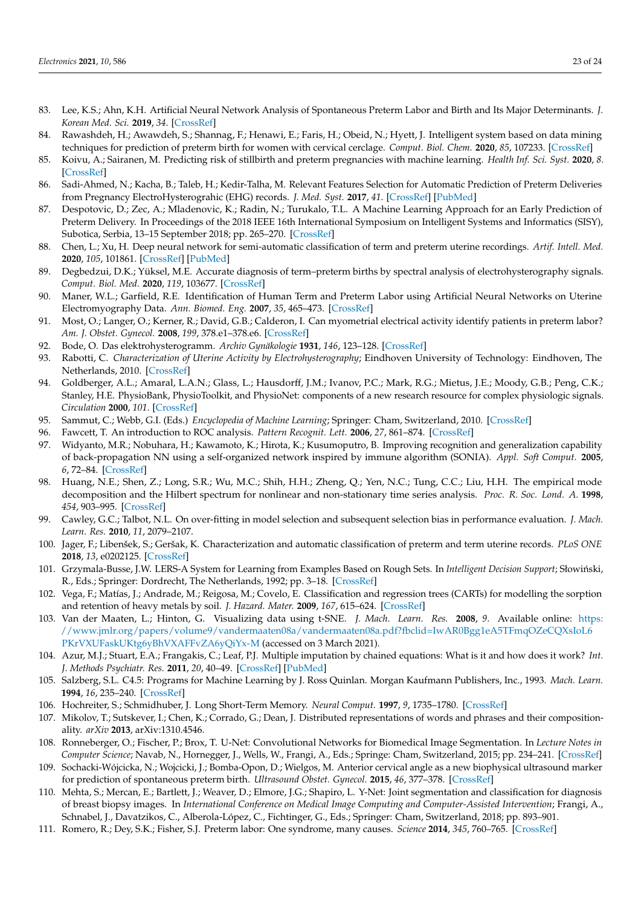- <span id="page-22-0"></span>83. Lee, K.S.; Ahn, K.H. Artificial Neural Network Analysis of Spontaneous Preterm Labor and Birth and Its Major Determinants. *J. Korean Med. Sci.* **2019**, *34*. [\[CrossRef\]](http://dx.doi.org/10.3346/jkms.2019.34.e128)
- <span id="page-22-1"></span>84. Rawashdeh, H.; Awawdeh, S.; Shannag, F.; Henawi, E.; Faris, H.; Obeid, N.; Hyett, J. Intelligent system based on data mining techniques for prediction of preterm birth for women with cervical cerclage. *Comput. Biol. Chem.* **2020**, *85*, 107233. [\[CrossRef\]](http://dx.doi.org/10.1016/j.compbiolchem.2020.107233)
- <span id="page-22-2"></span>85. Koivu, A.; Sairanen, M. Predicting risk of stillbirth and preterm pregnancies with machine learning. *Health Inf. Sci. Syst.* **2020**, *8*. [\[CrossRef\]](http://dx.doi.org/10.1007/s13755-020-00105-9)
- <span id="page-22-3"></span>86. Sadi-Ahmed, N.; Kacha, B.; Taleb, H.; Kedir-Talha, M. Relevant Features Selection for Automatic Prediction of Preterm Deliveries from Pregnancy ElectroHysterograhic (EHG) records. *J. Med. Syst.* **2017**, *41*. [\[CrossRef\]](http://dx.doi.org/10.1007/s10916-017-0847-8) [\[PubMed\]](http://www.ncbi.nlm.nih.gov/pubmed/29128973)
- <span id="page-22-4"></span>87. Despotovic, D.; Zec, A.; Mladenovic, K.; Radin, N.; Turukalo, T.L. A Machine Learning Approach for an Early Prediction of Preterm Delivery. In Proceedings of the 2018 IEEE 16th International Symposium on Intelligent Systems and Informatics (SISY), Subotica, Serbia, 13–15 September 2018; pp. 265–270. [\[CrossRef\]](http://dx.doi.org/10.1109/sisy.2018.8524818)
- <span id="page-22-5"></span>88. Chen, L.; Xu, H. Deep neural network for semi-automatic classification of term and preterm uterine recordings. *Artif. Intell. Med.* **2020**, *105*, 101861. [\[CrossRef\]](http://dx.doi.org/10.1016/j.artmed.2020.101861) [\[PubMed\]](http://www.ncbi.nlm.nih.gov/pubmed/32505424)
- <span id="page-22-6"></span>89. Degbedzui, D.K.; Yüksel, M.E. Accurate diagnosis of term–preterm births by spectral analysis of electrohysterography signals. *Comput. Biol. Med.* **2020**, *119*, 103677. [\[CrossRef\]](http://dx.doi.org/10.1016/j.compbiomed.2020.103677)
- <span id="page-22-7"></span>90. Maner, W.L.; Garfield, R.E. Identification of Human Term and Preterm Labor using Artificial Neural Networks on Uterine Electromyography Data. *Ann. Biomed. Eng.* **2007**, *35*, 465–473. [\[CrossRef\]](http://dx.doi.org/10.1007/s10439-006-9248-8)
- <span id="page-22-8"></span>91. Most, O.; Langer, O.; Kerner, R.; David, G.B.; Calderon, I. Can myometrial electrical activity identify patients in preterm labor? *Am. J. Obstet. Gynecol.* **2008**, *199*, 378.e1–378.e6. [\[CrossRef\]](http://dx.doi.org/10.1016/j.ajog.2008.08.003)
- <span id="page-22-9"></span>92. Bode, O. Das elektrohysterogramm. *Archiv Gynäkologie* **1931**, *146*, 123–128. [\[CrossRef\]](http://dx.doi.org/10.1007/BF01809524)
- <span id="page-22-10"></span>93. Rabotti, C. *Characterization of Uterine Activity by Electrohysterography*; Eindhoven University of Technology: Eindhoven, The Netherlands, 2010. [\[CrossRef\]](http://dx.doi.org/10.6100/IR672724)
- <span id="page-22-11"></span>94. Goldberger, A.L.; Amaral, L.A.N.; Glass, L.; Hausdorff, J.M.; Ivanov, P.C.; Mark, R.G.; Mietus, J.E.; Moody, G.B.; Peng, C.K.; Stanley, H.E. PhysioBank, PhysioToolkit, and PhysioNet: components of a new research resource for complex physiologic signals. *Circulation* **2000**, *101*. [\[CrossRef\]](http://dx.doi.org/10.1161/01.CIR.101.23.e215)
- <span id="page-22-12"></span>95. Sammut, C.; Webb, G.I. (Eds.) *Encyclopedia of Machine Learning*; Springer: Cham, Switzerland, 2010. [\[CrossRef\]](http://dx.doi.org/10.1007/978-0-387-30164-8)
- <span id="page-22-13"></span>96. Fawcett, T. An introduction to ROC analysis. *Pattern Recognit. Lett.* **2006**, *27*, 861–874. [\[CrossRef\]](http://dx.doi.org/10.1016/j.patrec.2005.10.010)
- <span id="page-22-14"></span>97. Widyanto, M.R.; Nobuhara, H.; Kawamoto, K.; Hirota, K.; Kusumoputro, B. Improving recognition and generalization capability of back-propagation NN using a self-organized network inspired by immune algorithm (SONIA). *Appl. Soft Comput.* **2005**, *6*, 72–84. [\[CrossRef\]](http://dx.doi.org/10.1016/j.asoc.2004.10.008)
- <span id="page-22-15"></span>98. Huang, N.E.; Shen, Z.; Long, S.R.; Wu, M.C.; Shih, H.H.; Zheng, Q.; Yen, N.C.; Tung, C.C.; Liu, H.H. The empirical mode decomposition and the Hilbert spectrum for nonlinear and non-stationary time series analysis. *Proc. R. Soc. Lond. A.* **1998**, *454*, 903–995. [\[CrossRef\]](http://dx.doi.org/10.1098/rspa.1998.0193)
- <span id="page-22-16"></span>99. Cawley, G.C.; Talbot, N.L. On over-fitting in model selection and subsequent selection bias in performance evaluation. *J. Mach. Learn. Res.* **2010**, *11*, 2079–2107.
- <span id="page-22-17"></span>100. Jager, F.; Libenšek, S.; Geršak, K. Characterization and automatic classification of preterm and term uterine records. *PLoS ONE* **2018**, *13*, e0202125. [\[CrossRef\]](http://dx.doi.org/10.1371/journal.pone.0202125)
- <span id="page-22-18"></span>101. Grzymala-Busse, J.W. LERS-A System for Learning from Examples Based on Rough Sets. In *Intelligent Decision Support;* Słowiński, R., Eds.; Springer: Dordrecht, The Netherlands, 1992; pp. 3–18. [\[CrossRef\]](http://dx.doi.org/10.1007/978-94-015-7975-9_1)
- <span id="page-22-19"></span>102. Vega, F.; Matías, J.; Andrade, M.; Reigosa, M.; Covelo, E. Classification and regression trees (CARTs) for modelling the sorption and retention of heavy metals by soil. *J. Hazard. Mater.* **2009**, *167*, 615–624. [\[CrossRef\]](http://dx.doi.org/10.1016/j.jhazmat.2009.01.016)
- <span id="page-22-20"></span>103. Van der Maaten, L.; Hinton, G. Visualizing data using t-SNE. *J. Mach. Learn. Res.* **2008**, *9*. Available online: [https:](https://www.jmlr.org/papers/volume9/vandermaaten08a/vandermaaten08a.pdf?fbclid=IwAR0Bgg1eA5TFmqOZeCQXsIoL6PKrVXUFaskUKtg6yBhVXAFFvZA6yQiYx-M) [//www.jmlr.org/papers/volume9/vandermaaten08a/vandermaaten08a.pdf?fbclid=IwAR0Bgg1eA5TFmqOZeCQXsIoL6](https://www.jmlr.org/papers/volume9/vandermaaten08a/vandermaaten08a.pdf?fbclid=IwAR0Bgg1eA5TFmqOZeCQXsIoL6PKrVXUFaskUKtg6yBhVXAFFvZA6yQiYx-M) [PKrVXUFaskUKtg6yBhVXAFFvZA6yQiYx-M](https://www.jmlr.org/papers/volume9/vandermaaten08a/vandermaaten08a.pdf?fbclid=IwAR0Bgg1eA5TFmqOZeCQXsIoL6PKrVXUFaskUKtg6yBhVXAFFvZA6yQiYx-M) (accessed on 3 March 2021).
- <span id="page-22-21"></span>104. Azur, M.J.; Stuart, E.A.; Frangakis, C.; Leaf, P.J. Multiple imputation by chained equations: What is it and how does it work? *Int. J. Methods Psychiatr. Res.* **2011**, *20*, 40–49. [\[CrossRef\]](http://dx.doi.org/10.1002/mpr.329) [\[PubMed\]](http://www.ncbi.nlm.nih.gov/pubmed/21499542)
- <span id="page-22-22"></span>105. Salzberg, S.L. C4.5: Programs for Machine Learning by J. Ross Quinlan. Morgan Kaufmann Publishers, Inc., 1993. *Mach. Learn.* **1994**, *16*, 235–240. [\[CrossRef\]](http://dx.doi.org/10.1007/BF00993309)
- <span id="page-22-23"></span>106. Hochreiter, S.; Schmidhuber, J. Long Short-Term Memory. *Neural Comput.* **1997**, *9*, 1735–1780. [\[CrossRef\]](http://dx.doi.org/10.1162/neco.1997.9.8.1735)
- <span id="page-22-24"></span>107. Mikolov, T.; Sutskever, I.; Chen, K.; Corrado, G.; Dean, J. Distributed representations of words and phrases and their compositionality. *arXiv* **2013**, arXiv:1310.4546.
- <span id="page-22-25"></span>108. Ronneberger, O.; Fischer, P.; Brox, T. U-Net: Convolutional Networks for Biomedical Image Segmentation. In *Lecture Notes in Computer Science*; Navab, N., Hornegger, J., Wells, W., Frangi, A., Eds.; Springe: Cham, Switzerland, 2015; pp. 234–241. [\[CrossRef\]](http://dx.doi.org/10.1007/978-3-319-24574-4_28)
- <span id="page-22-26"></span>109. Sochacki-Wójcicka, N.; Wojcicki, J.; Bomba-Opon, D.; Wielgos, M. Anterior cervical angle as a new biophysical ultrasound marker for prediction of spontaneous preterm birth. *Ultrasound Obstet. Gynecol.* **2015**, *46*, 377–378. [\[CrossRef\]](http://dx.doi.org/10.1002/uog.14801)
- <span id="page-22-27"></span>110. Mehta, S.; Mercan, E.; Bartlett, J.; Weaver, D.; Elmore, J.G.; Shapiro, L. Y-Net: Joint segmentation and classification for diagnosis of breast biopsy images. In *International Conference on Medical Image Computing and Computer-Assisted Intervention*; Frangi, A., Schnabel, J., Davatzikos, C., Alberola-López, C., Fichtinger, G., Eds.; Springer: Cham, Switzerland, 2018; pp. 893–901.
- <span id="page-22-28"></span>111. Romero, R.; Dey, S.K.; Fisher, S.J. Preterm labor: One syndrome, many causes. *Science* **2014**, *345*, 760–765. [\[CrossRef\]](http://dx.doi.org/10.1126/science.1251816)